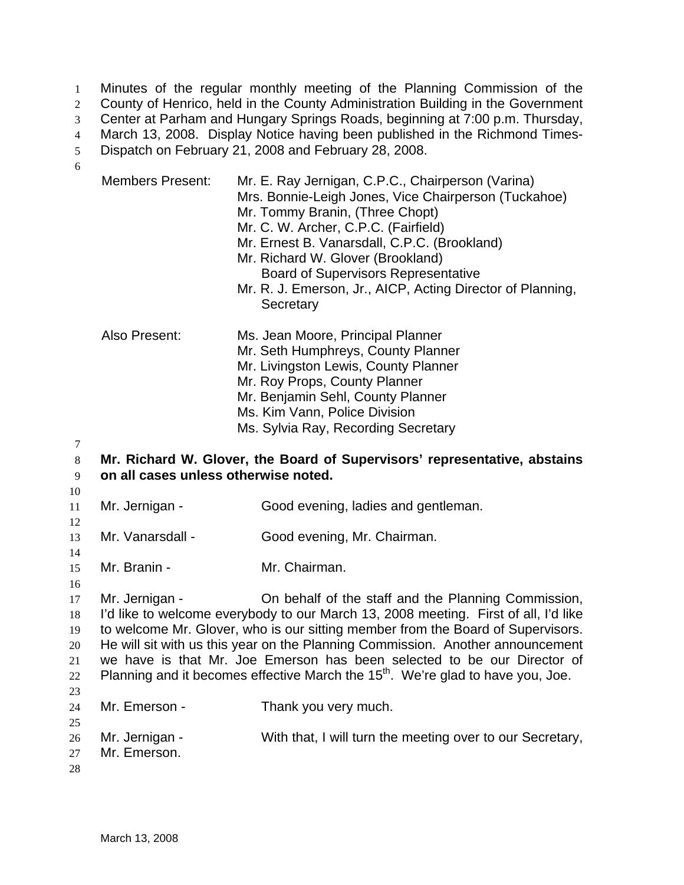Minutes of the regular monthly meeting of the Planning Commission of the County of Henrico, held in the County Administration Building in the Government Center at Parham and Hungary Springs Roads, beginning at 7:00 p.m. Thursday, March 13, 2008. Display Notice having been published in the Richmond Times-Dispatch on February 21, 2008 and February 28, 2008. 1  $2<sup>2</sup>$ 3 4 5

Members Present: Mr. E. Ray Jernigan, C.P.C., Chairperson (Varina) Mrs. Bonnie-Leigh Jones, Vice Chairperson (Tuckahoe) Mr. Tommy Branin, (Three Chopt) Mr. C. W. Archer, C.P.C. (Fairfield) Mr. Ernest B. Vanarsdall, C.P.C. (Brookland) Mr. Richard W. Glover (Brookland) Board of Supervisors Representative Mr. R. J. Emerson, Jr., AICP, Acting Director of Planning, **Secretary** Also Present: Ms. Jean Moore, Principal Planner Mr. Seth Humphreys, County Planner Mr. Livingston Lewis, County Planner Mr. Roy Props, County Planner Mr. Benjamin Sehl, County Planner Ms. Kim Vann, Police Division Ms. Sylvia Ray, Recording Secretary

7

6

#### 8 9 **Mr. Richard W. Glover, the Board of Supervisors' representative, abstains on all cases unless otherwise noted.**

10

12

14

16

- 11 Mr. Jernigan - Good evening, ladies and gentleman.
- 13 Mr. Vanarsdall - Good evening, Mr. Chairman.
- 15 Mr. Branin - **Mr. Chairman.**

17 18 19 20 21 22 23 Mr. Jernigan - On behalf of the staff and the Planning Commission, I'd like to welcome everybody to our March 13, 2008 meeting. First of all, I'd like to welcome Mr. Glover, who is our sitting member from the Board of Supervisors. He will sit with us this year on the Planning Commission. Another announcement we have is that Mr. Joe Emerson has been selected to be our Director of Planning and it becomes effective March the  $15<sup>th</sup>$ . We're glad to have you, Joe.

# 24 25 Mr. Emerson - Thank you very much.

26 Mr. Jernigan - With that, I will turn the meeting over to our Secretary,

27 Mr. Emerson.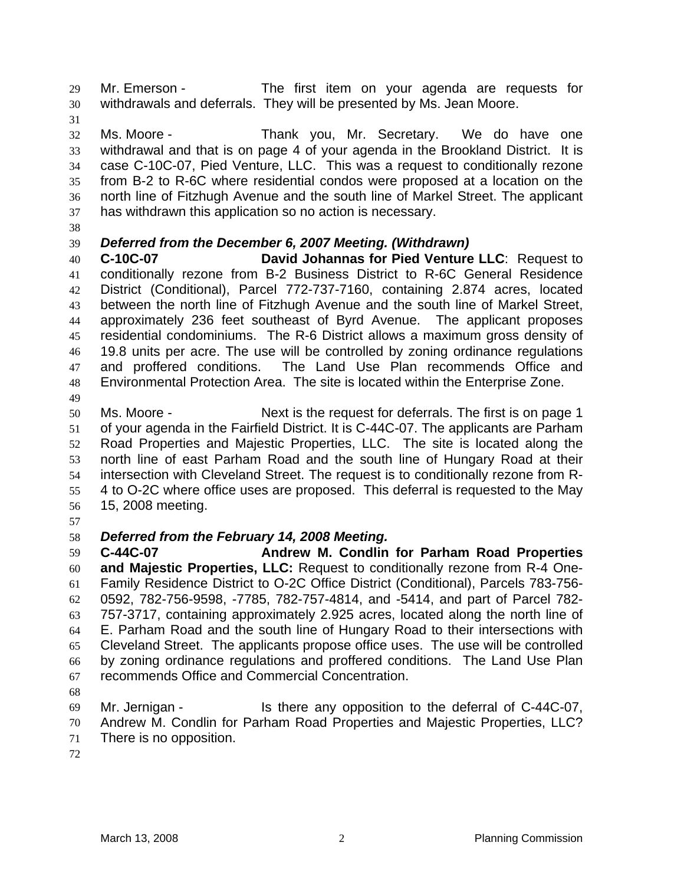Mr. Emerson - The first item on your agenda are requests for withdrawals and deferrals. They will be presented by Ms. Jean Moore. 29 30

31

32 33 34 35 36 37 Ms. Moore - Thank you, Mr. Secretary. We do have one withdrawal and that is on page 4 of your agenda in the Brookland District. It is case C-10C-07, Pied Venture, LLC. This was a request to conditionally rezone from B-2 to R-6C where residential condos were proposed at a location on the north line of Fitzhugh Avenue and the south line of Markel Street. The applicant has withdrawn this application so no action is necessary.

38

### 39 *Deferred from the December 6, 2007 Meeting. (Withdrawn)*

40 41 42 43 44 45 46 47 48 **C-10C-07 David Johannas for Pied Venture LLC**: Request to conditionally rezone from B-2 Business District to R-6C General Residence District (Conditional), Parcel 772-737-7160, containing 2.874 acres, located between the north line of Fitzhugh Avenue and the south line of Markel Street, approximately 236 feet southeast of Byrd Avenue. The applicant proposes residential condominiums. The R-6 District allows a maximum gross density of 19.8 units per acre. The use will be controlled by zoning ordinance regulations and proffered conditions. The Land Use Plan recommends Office and Environmental Protection Area. The site is located within the Enterprise Zone.

49

50 51 52 53 54 55 56 Ms. Moore - Next is the request for deferrals. The first is on page 1 of your agenda in the Fairfield District. It is C-44C-07. The applicants are Parham Road Properties and Majestic Properties, LLC. The site is located along the north line of east Parham Road and the south line of Hungary Road at their intersection with Cleveland Street. The request is to conditionally rezone from R-4 to O-2C where office uses are proposed. This deferral is requested to the May 15, 2008 meeting.

57

# 58 *Deferred from the February 14, 2008 Meeting.*

59 60 61 62 63 64 65 66 67 **C-44C-07 Andrew M. Condlin for Parham Road Properties and Majestic Properties, LLC:** Request to conditionally rezone from R-4 One-Family Residence District to O-2C Office District (Conditional), Parcels 783-756- 0592, 782-756-9598, -7785, 782-757-4814, and -5414, and part of Parcel 782- 757-3717, containing approximately 2.925 acres, located along the north line of E. Parham Road and the south line of Hungary Road to their intersections with Cleveland Street. The applicants propose office uses. The use will be controlled by zoning ordinance regulations and proffered conditions. The Land Use Plan recommends Office and Commercial Concentration.

68

69 70 71 Mr. Jernigan - Is there any opposition to the deferral of C-44C-07, Andrew M. Condlin for Parham Road Properties and Majestic Properties, LLC? There is no opposition.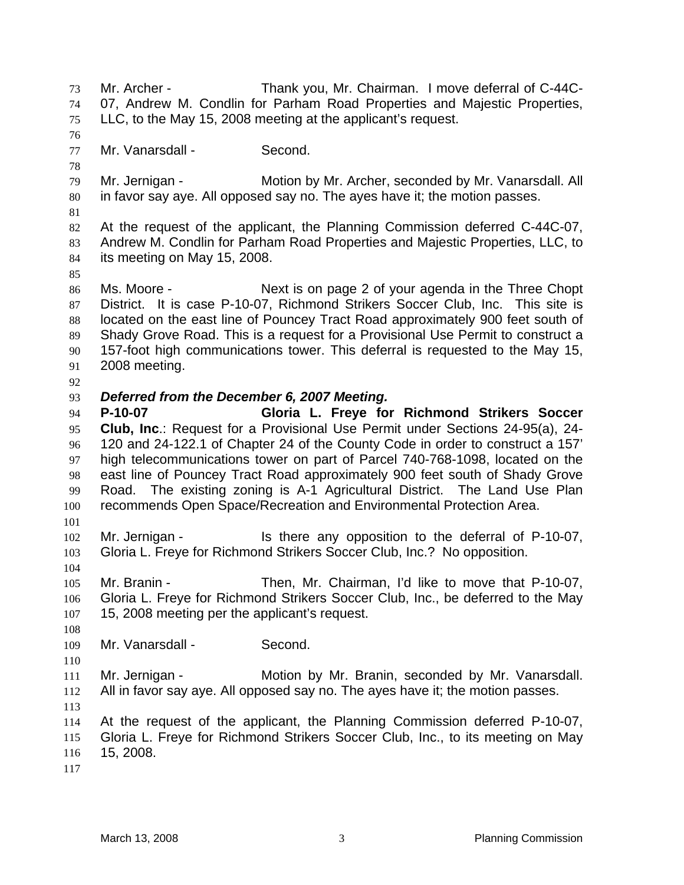Mr. Archer - Thank you, Mr. Chairman. I move deferral of C-44C-07, Andrew M. Condlin for Parham Road Properties and Majestic Properties, LLC, to the May 15, 2008 meeting at the applicant's request. 73 74 75 76 77 78 79 80 81 82 83 84 85 86 87 88 89 90 91 92 93 94 95 96 97 98 99 100 101 102 103 104 105 106 107 108 109 110 111 112 113 114 115 116 117 Mr. Vanarsdall - Second. Mr. Jernigan - Motion by Mr. Archer, seconded by Mr. Vanarsdall. All in favor say aye. All opposed say no. The ayes have it; the motion passes. At the request of the applicant, the Planning Commission deferred C-44C-07, Andrew M. Condlin for Parham Road Properties and Majestic Properties, LLC, to its meeting on May 15, 2008. Ms. Moore - Next is on page 2 of your agenda in the Three Chopt District. It is case P-10-07, Richmond Strikers Soccer Club, Inc. This site is located on the east line of Pouncey Tract Road approximately 900 feet south of Shady Grove Road. This is a request for a Provisional Use Permit to construct a 157-foot high communications tower. This deferral is requested to the May 15, 2008 meeting. *Deferred from the December 6, 2007 Meeting.*  **P-10-07 Gloria L. Freye for Richmond Strikers Soccer Club, Inc**.: Request for a Provisional Use Permit under Sections 24-95(a), 24- 120 and 24-122.1 of Chapter 24 of the County Code in order to construct a 157' high telecommunications tower on part of Parcel 740-768-1098, located on the east line of Pouncey Tract Road approximately 900 feet south of Shady Grove Road. The existing zoning is A-1 Agricultural District. The Land Use Plan recommends Open Space/Recreation and Environmental Protection Area. Mr. Jernigan - The state any opposition to the deferral of P-10-07, Gloria L. Freye for Richmond Strikers Soccer Club, Inc.? No opposition. Mr. Branin - Then, Mr. Chairman, I'd like to move that P-10-07, Gloria L. Freye for Richmond Strikers Soccer Club, Inc., be deferred to the May 15, 2008 meeting per the applicant's request. Mr. Vanarsdall - Second. Mr. Jernigan - **Motion by Mr. Branin, seconded by Mr. Vanarsdall.** All in favor say aye. All opposed say no. The ayes have it; the motion passes. At the request of the applicant, the Planning Commission deferred P-10-07, Gloria L. Freye for Richmond Strikers Soccer Club, Inc., to its meeting on May 15, 2008.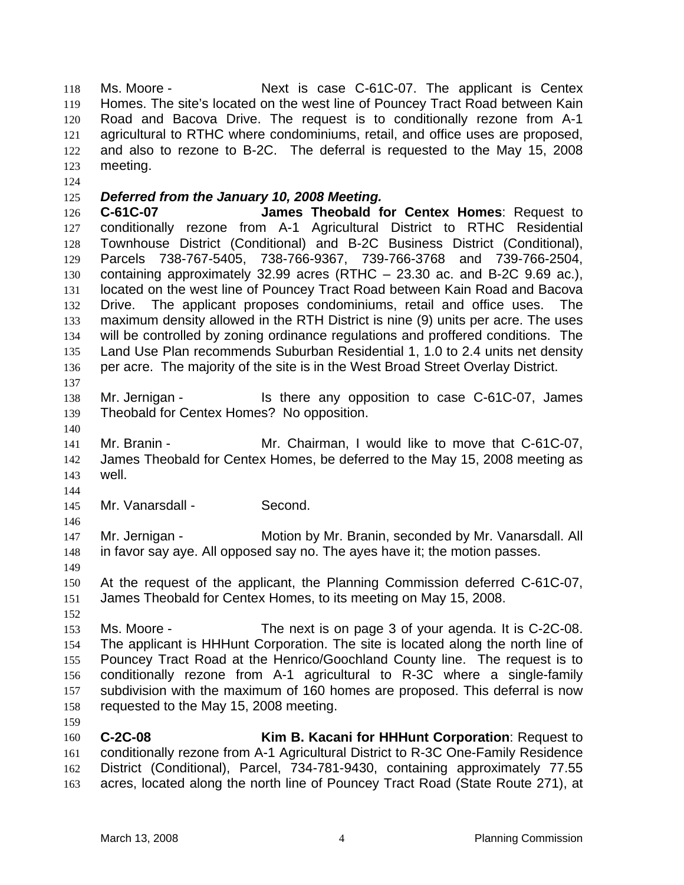Ms. Moore - The Next is case C-61C-07. The applicant is Centex Homes. The site's located on the west line of Pouncey Tract Road between Kain Road and Bacova Drive. The request is to conditionally rezone from A-1 agricultural to RTHC where condominiums, retail, and office uses are proposed, and also to rezone to B-2C. The deferral is requested to the May 15, 2008 meeting. 118 119 120 121 122 123

124

## 125 *Deferred from the January 10, 2008 Meeting.*

126 127 128 129 130 131 132 133 134 135 136 137 **C-61C-07 James Theobald for Centex Homes**: Request to conditionally rezone from A-1 Agricultural District to RTHC Residential Townhouse District (Conditional) and B-2C Business District (Conditional), Parcels 738-767-5405, 738-766-9367, 739-766-3768 and 739-766-2504, containing approximately 32.99 acres (RTHC – 23.30 ac. and B-2C 9.69 ac.), located on the west line of Pouncey Tract Road between Kain Road and Bacova Drive. The applicant proposes condominiums, retail and office uses. The maximum density allowed in the RTH District is nine (9) units per acre. The uses will be controlled by zoning ordinance regulations and proffered conditions. The Land Use Plan recommends Suburban Residential 1, 1.0 to 2.4 units net density per acre. The majority of the site is in the West Broad Street Overlay District.

- 138 139 Mr. Jernigan - Is there any opposition to case C-61C-07, James Theobald for Centex Homes? No opposition.
- 140

141 142 143 Mr. Branin - **Mr. Chairman, I would like to move that C-61C-07**, James Theobald for Centex Homes, be deferred to the May 15, 2008 meeting as well.

144

146

149

145 Mr. Vanarsdall - Second.

147 148 Mr. Jernigan - Motion by Mr. Branin, seconded by Mr. Vanarsdall. All in favor say aye. All opposed say no. The ayes have it; the motion passes.

150 151 At the request of the applicant, the Planning Commission deferred C-61C-07, James Theobald for Centex Homes, to its meeting on May 15, 2008.

152

153 154 155 156 157 158 Ms. Moore - The next is on page 3 of your agenda. It is C-2C-08. The applicant is HHHunt Corporation. The site is located along the north line of Pouncey Tract Road at the Henrico/Goochland County line. The request is to conditionally rezone from A-1 agricultural to R-3C where a single-family subdivision with the maximum of 160 homes are proposed. This deferral is now requested to the May 15, 2008 meeting.

159 160 161 162 163 **C-2C-08 Kim B. Kacani for HHHunt Corporation**: Request to conditionally rezone from A-1 Agricultural District to R-3C One-Family Residence District (Conditional), Parcel, 734-781-9430, containing approximately 77.55 acres, located along the north line of Pouncey Tract Road (State Route 271), at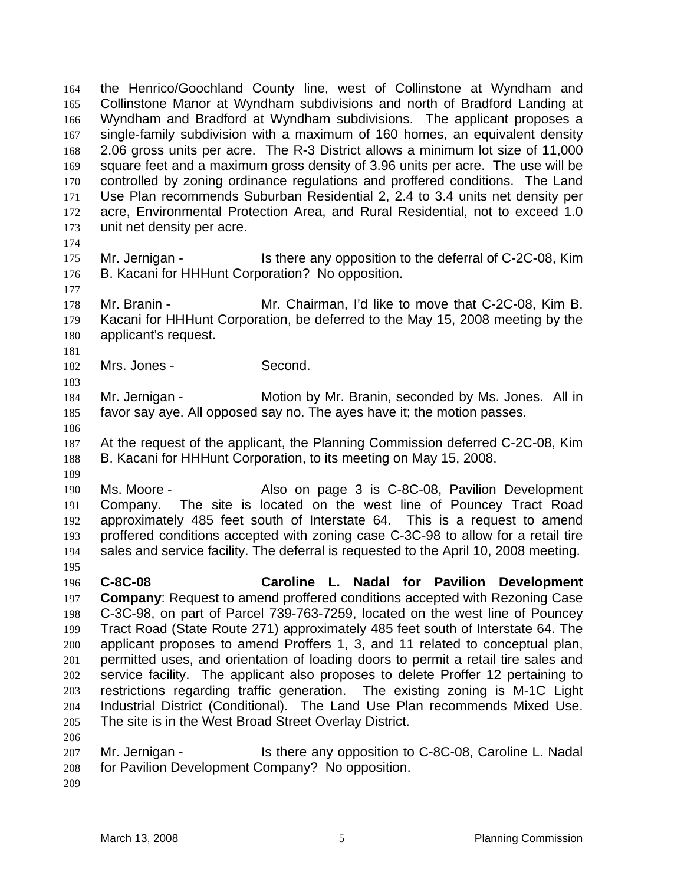the Henrico/Goochland County line, west of Collinstone at Wyndham and Collinstone Manor at Wyndham subdivisions and north of Bradford Landing at Wyndham and Bradford at Wyndham subdivisions. The applicant proposes a single-family subdivision with a maximum of 160 homes, an equivalent density 2.06 gross units per acre. The R-3 District allows a minimum lot size of 11,000 square feet and a maximum gross density of 3.96 units per acre. The use will be controlled by zoning ordinance regulations and proffered conditions. The Land Use Plan recommends Suburban Residential 2, 2.4 to 3.4 units net density per acre, Environmental Protection Area, and Rural Residential, not to exceed 1.0 unit net density per acre. 164 165 166 167 168 169 170 171 172 173

174

177

181

183

- 175 176 Mr. Jernigan - Is there any opposition to the deferral of C-2C-08, Kim B. Kacani for HHHunt Corporation? No opposition.
- 178 179 180 Mr. Branin - Mr. Chairman, I'd like to move that C-2C-08, Kim B. Kacani for HHHunt Corporation, be deferred to the May 15, 2008 meeting by the applicant's request.
- 182 Mrs. Jones - Second.

184 185 Mr. Jernigan - Motion by Mr. Branin, seconded by Ms. Jones. All in favor say aye. All opposed say no. The ayes have it; the motion passes.

186

189

195

187 188 At the request of the applicant, the Planning Commission deferred C-2C-08, Kim B. Kacani for HHHunt Corporation, to its meeting on May 15, 2008.

190 191 192 193 194 Ms. Moore - The Also on page 3 is C-8C-08, Pavilion Development Company. The site is located on the west line of Pouncey Tract Road approximately 485 feet south of Interstate 64. This is a request to amend proffered conditions accepted with zoning case C-3C-98 to allow for a retail tire sales and service facility. The deferral is requested to the April 10, 2008 meeting.

196 197 198 199 200 201 202 203 204 205 206 **C-8C-08 Caroline L. Nadal for Pavilion Development Company**: Request to amend proffered conditions accepted with Rezoning Case C-3C-98, on part of Parcel 739-763-7259, located on the west line of Pouncey Tract Road (State Route 271) approximately 485 feet south of Interstate 64. The applicant proposes to amend Proffers 1, 3, and 11 related to conceptual plan, permitted uses, and orientation of loading doors to permit a retail tire sales and service facility. The applicant also proposes to delete Proffer 12 pertaining to restrictions regarding traffic generation. The existing zoning is M-1C Light Industrial District (Conditional). The Land Use Plan recommends Mixed Use. The site is in the West Broad Street Overlay District.

- 207 208 Mr. Jernigan - The Is there any opposition to C-8C-08, Caroline L. Nadal for Pavilion Development Company? No opposition.
- 209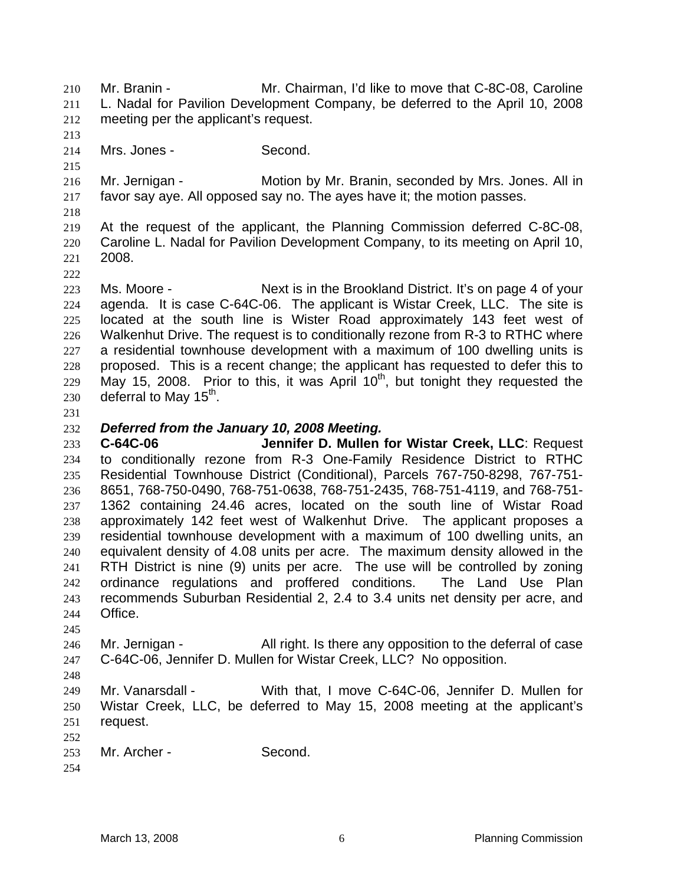Mr. Branin - Mr. Chairman, I'd like to move that C-8C-08, Caroline L. Nadal for Pavilion Development Company, be deferred to the April 10, 2008 meeting per the applicant's request. 210 211 212

213 214

215

Mrs. Jones - Second.

216 217 Mr. Jernigan - The Motion by Mr. Branin, seconded by Mrs. Jones. All in favor say aye. All opposed say no. The ayes have it; the motion passes.

218

222

219 220 221 At the request of the applicant, the Planning Commission deferred C-8C-08, Caroline L. Nadal for Pavilion Development Company, to its meeting on April 10, 2008.

223 224 225 226 227 228 229 230 Ms. Moore - Next is in the Brookland District. It's on page 4 of your agenda. It is case C-64C-06. The applicant is Wistar Creek, LLC. The site is located at the south line is Wister Road approximately 143 feet west of Walkenhut Drive. The request is to conditionally rezone from R-3 to RTHC where a residential townhouse development with a maximum of 100 dwelling units is proposed. This is a recent change; the applicant has requested to defer this to May 15, 2008. Prior to this, it was April  $10<sup>th</sup>$ , but tonight they requested the deferral to May  $15<sup>th</sup>$ .

231

232

# *Deferred from the January 10, 2008 Meeting.*

233 234 235 236 237 238 239 240 241 242 243 244 **C-64C-06 Jennifer D. Mullen for Wistar Creek, LLC**: Request to conditionally rezone from R-3 One-Family Residence District to RTHC Residential Townhouse District (Conditional), Parcels 767-750-8298, 767-751- 8651, 768-750-0490, 768-751-0638, 768-751-2435, 768-751-4119, and 768-751- 1362 containing 24.46 acres, located on the south line of Wistar Road approximately 142 feet west of Walkenhut Drive. The applicant proposes a residential townhouse development with a maximum of 100 dwelling units, an equivalent density of 4.08 units per acre. The maximum density allowed in the RTH District is nine (9) units per acre. The use will be controlled by zoning ordinance regulations and proffered conditions. The Land Use Plan recommends Suburban Residential 2, 2.4 to 3.4 units net density per acre, and Office.

245

246 247 Mr. Jernigan - All right. Is there any opposition to the deferral of case C-64C-06, Jennifer D. Mullen for Wistar Creek, LLC? No opposition.

248

249 250 251 252 Mr. Vanarsdall - With that, I move C-64C-06, Jennifer D. Mullen for Wistar Creek, LLC, be deferred to May 15, 2008 meeting at the applicant's request.

253 Mr. Archer - Second.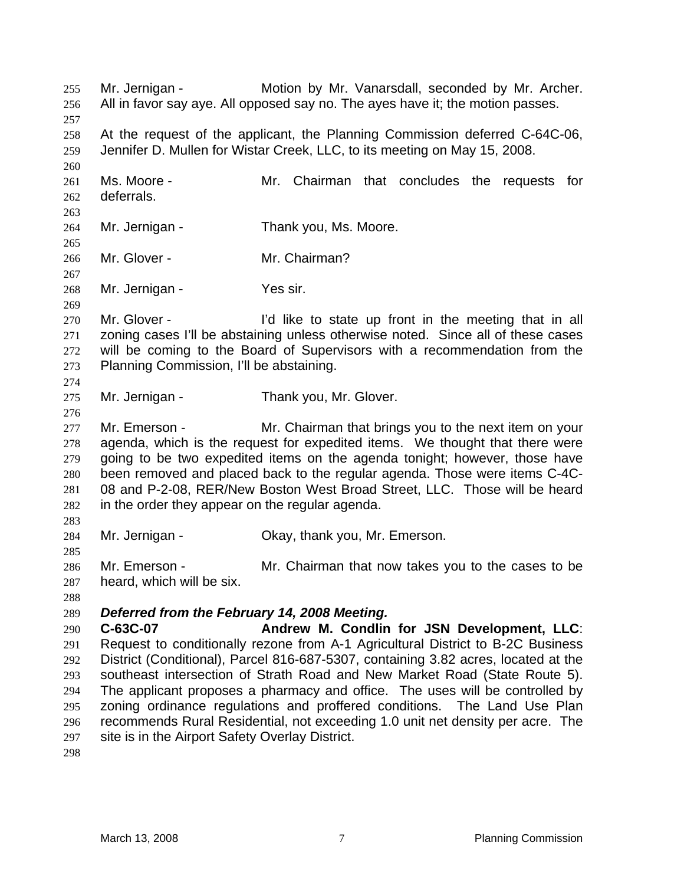Mr. Jernigan - Motion by Mr. Vanarsdall, seconded by Mr. Archer. All in favor say aye. All opposed say no. The ayes have it; the motion passes. 255 256 257 258 259 260 261 262 263 264 265 266 267 268 269 270 271 272 273 274 275 276 277 278 279 280 281 282 283 284 285 286 287 288 289 290 291 292 293 294 295 296 297 At the request of the applicant, the Planning Commission deferred C-64C-06, Jennifer D. Mullen for Wistar Creek, LLC, to its meeting on May 15, 2008. Ms. Moore - Mr. Chairman that concludes the requests for deferrals. Mr. Jernigan - Thank you, Ms. Moore. Mr. Glover - Mr. Chairman? Mr. Jernigan - Yes sir. Mr. Glover - I'd like to state up front in the meeting that in all zoning cases I'll be abstaining unless otherwise noted. Since all of these cases will be coming to the Board of Supervisors with a recommendation from the Planning Commission, I'll be abstaining. Mr. Jernigan - Thank you, Mr. Glover. Mr. Emerson - The Mr. Chairman that brings you to the next item on your agenda, which is the request for expedited items. We thought that there were going to be two expedited items on the agenda tonight; however, those have been removed and placed back to the regular agenda. Those were items C-4C-08 and P-2-08, RER/New Boston West Broad Street, LLC. Those will be heard in the order they appear on the regular agenda. Mr. Jernigan - Ckay, thank you, Mr. Emerson. Mr. Emerson - Mr. Chairman that now takes you to the cases to be heard, which will be six. *Deferred from the February 14, 2008 Meeting.*  **C-63C-07 Andrew M. Condlin for JSN Development, LLC**: Request to conditionally rezone from A-1 Agricultural District to B-2C Business District (Conditional), Parcel 816-687-5307, containing 3.82 acres, located at the southeast intersection of Strath Road and New Market Road (State Route 5). The applicant proposes a pharmacy and office. The uses will be controlled by zoning ordinance regulations and proffered conditions. The Land Use Plan recommends Rural Residential, not exceeding 1.0 unit net density per acre. The site is in the Airport Safety Overlay District.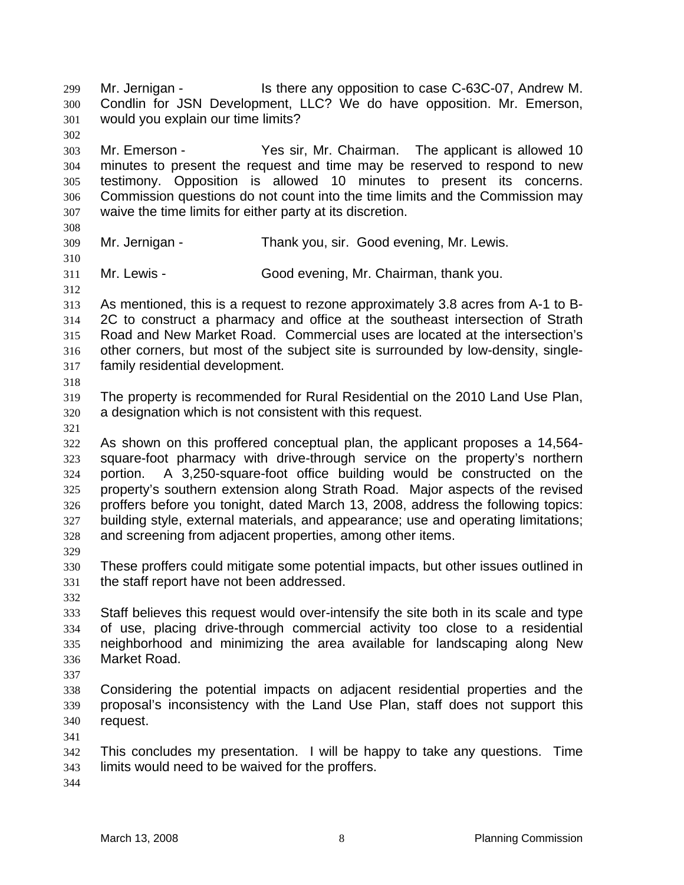would you explain our time limits? 301 302 303 304 305 306 307 308 309 310 311 312 313 314 315 316 317 318 319 320 321 322 323 324 325 326 327 328 329 330 331 332 333 334 335 336 337 338 339 340 341 342 343 Mr. Emerson - Yes sir, Mr. Chairman. The applicant is allowed 10 minutes to present the request and time may be reserved to respond to new testimony. Opposition is allowed 10 minutes to present its concerns. Commission questions do not count into the time limits and the Commission may waive the time limits for either party at its discretion. Mr. Jernigan - Thank you, sir. Good evening, Mr. Lewis. Mr. Lewis - Good evening, Mr. Chairman, thank you. As mentioned, this is a request to rezone approximately 3.8 acres from A-1 to B-2C to construct a pharmacy and office at the southeast intersection of Strath Road and New Market Road. Commercial uses are located at the intersection's other corners, but most of the subject site is surrounded by low-density, singlefamily residential development. The property is recommended for Rural Residential on the 2010 Land Use Plan, a designation which is not consistent with this request. As shown on this proffered conceptual plan, the applicant proposes a 14,564 square-foot pharmacy with drive-through service on the property's northern portion. A 3,250-square-foot office building would be constructed on the property's southern extension along Strath Road. Major aspects of the revised proffers before you tonight, dated March 13, 2008, address the following topics: building style, external materials, and appearance; use and operating limitations; and screening from adjacent properties, among other items. These proffers could mitigate some potential impacts, but other issues outlined in the staff report have not been addressed. Staff believes this request would over-intensify the site both in its scale and type of use, placing drive-through commercial activity too close to a residential neighborhood and minimizing the area available for landscaping along New Market Road. Considering the potential impacts on adjacent residential properties and the proposal's inconsistency with the Land Use Plan, staff does not support this request. This concludes my presentation. I will be happy to take any questions. Time limits would need to be waived for the proffers.

Mr. Jernigan - Is there any opposition to case C-63C-07, Andrew M. Condlin for JSN Development, LLC? We do have opposition. Mr. Emerson,

344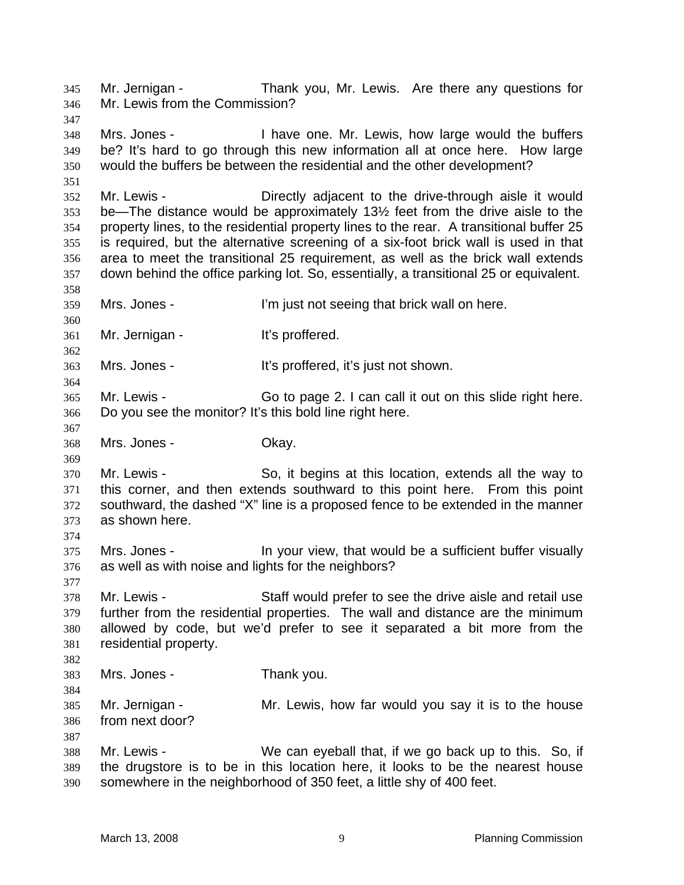Mr. Jernigan - Thank you, Mr. Lewis. Are there any questions for Mr. Lewis from the Commission? 345 346 347 348 349 350 351 352 353 354 355 356 357 358 359 360 361 362 363 364 365 366 367 368 369 370 371 372 373 374 375 376 377 378 379 380 381 382 383 384 385 386 387 388 389 390 Mrs. Jones - Thave one. Mr. Lewis, how large would the buffers be? It's hard to go through this new information all at once here. How large would the buffers be between the residential and the other development? Mr. Lewis - The Directly adjacent to the drive-through aisle it would be—The distance would be approximately 13½ feet from the drive aisle to the property lines, to the residential property lines to the rear. A transitional buffer 25 is required, but the alternative screening of a six-foot brick wall is used in that area to meet the transitional 25 requirement, as well as the brick wall extends down behind the office parking lot. So, essentially, a transitional 25 or equivalent. Mrs. Jones - The Unit of Seeing that brick wall on here. Mr. Jernigan - It's proffered. Mrs. Jones - It's proffered, it's just not shown. Mr. Lewis - Go to page 2. I can call it out on this slide right here. Do you see the monitor? It's this bold line right here. Mrs. Jones - Ckay. Mr. Lewis - So, it begins at this location, extends all the way to this corner, and then extends southward to this point here. From this point southward, the dashed "X" line is a proposed fence to be extended in the manner as shown here. Mrs. Jones - In your view, that would be a sufficient buffer visually as well as with noise and lights for the neighbors? Mr. Lewis - Staff would prefer to see the drive aisle and retail use further from the residential properties. The wall and distance are the minimum allowed by code, but we'd prefer to see it separated a bit more from the residential property. Mrs. Jones - Thank you. Mr. Jernigan - The Mr. Lewis, how far would you say it is to the house from next door? Mr. Lewis - We can eyeball that, if we go back up to this. So, if the drugstore is to be in this location here, it looks to be the nearest house somewhere in the neighborhood of 350 feet, a little shy of 400 feet.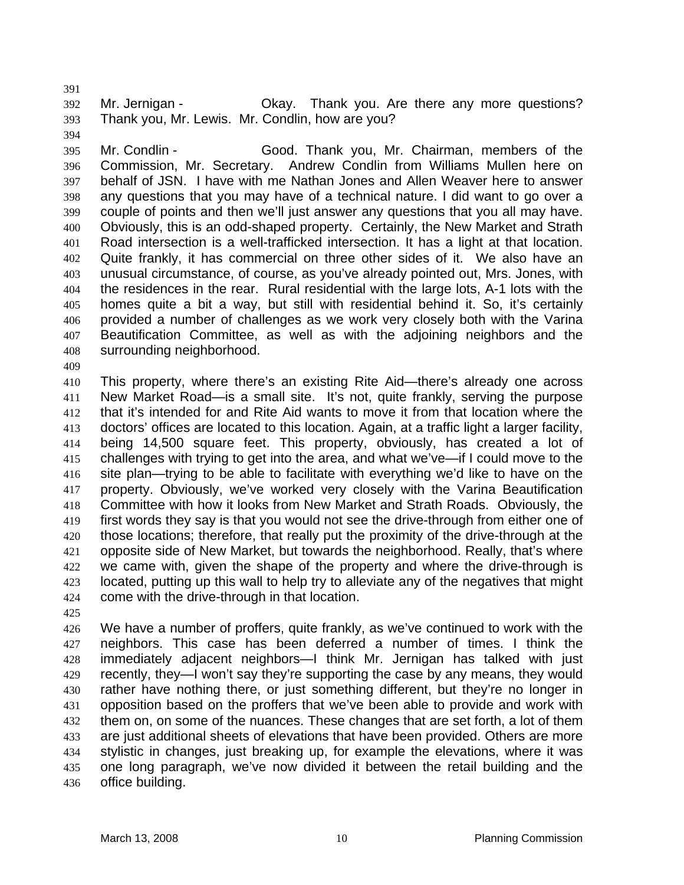392 393 Mr. Jernigan - Ckay. Thank you. Are there any more questions? Thank you, Mr. Lewis. Mr. Condlin, how are you?

395 396 397 398 399 400 401 402 403 404 405 406 407 408 Mr. Condlin - Good. Thank you, Mr. Chairman, members of the Commission, Mr. Secretary. Andrew Condlin from Williams Mullen here on behalf of JSN. I have with me Nathan Jones and Allen Weaver here to answer any questions that you may have of a technical nature. I did want to go over a couple of points and then we'll just answer any questions that you all may have. Obviously, this is an odd-shaped property. Certainly, the New Market and Strath Road intersection is a well-trafficked intersection. It has a light at that location. Quite frankly, it has commercial on three other sides of it. We also have an unusual circumstance, of course, as you've already pointed out, Mrs. Jones, with the residences in the rear. Rural residential with the large lots, A-1 lots with the homes quite a bit a way, but still with residential behind it. So, it's certainly provided a number of challenges as we work very closely both with the Varina Beautification Committee, as well as with the adjoining neighbors and the surrounding neighborhood.

409

391

394

410 411 412 413 414 415 416 417 418 419 420 421 422 423 424 This property, where there's an existing Rite Aid—there's already one across New Market Road—is a small site. It's not, quite frankly, serving the purpose that it's intended for and Rite Aid wants to move it from that location where the doctors' offices are located to this location. Again, at a traffic light a larger facility, being 14,500 square feet. This property, obviously, has created a lot of challenges with trying to get into the area, and what we've—if I could move to the site plan—trying to be able to facilitate with everything we'd like to have on the property. Obviously, we've worked very closely with the Varina Beautification Committee with how it looks from New Market and Strath Roads. Obviously, the first words they say is that you would not see the drive-through from either one of those locations; therefore, that really put the proximity of the drive-through at the opposite side of New Market, but towards the neighborhood. Really, that's where we came with, given the shape of the property and where the drive-through is located, putting up this wall to help try to alleviate any of the negatives that might come with the drive-through in that location.

425

426 427 428 429 430 431 432 433 434 435 436 We have a number of proffers, quite frankly, as we've continued to work with the neighbors. This case has been deferred a number of times. I think the immediately adjacent neighbors—I think Mr. Jernigan has talked with just recently, they—I won't say they're supporting the case by any means, they would rather have nothing there, or just something different, but they're no longer in opposition based on the proffers that we've been able to provide and work with them on, on some of the nuances. These changes that are set forth, a lot of them are just additional sheets of elevations that have been provided. Others are more stylistic in changes, just breaking up, for example the elevations, where it was one long paragraph, we've now divided it between the retail building and the office building.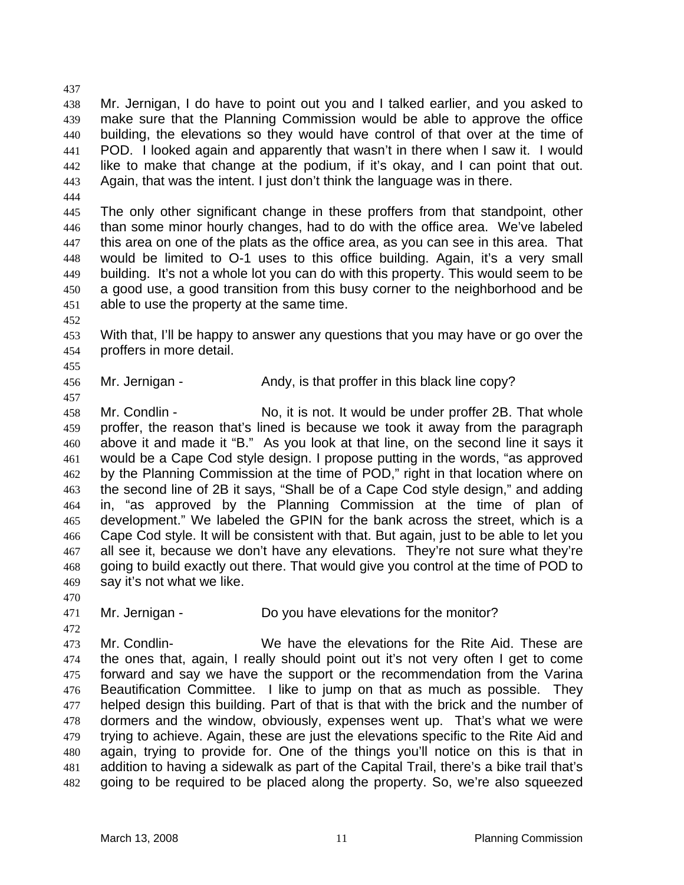438 439 440 441 442 443 Mr. Jernigan, I do have to point out you and I talked earlier, and you asked to make sure that the Planning Commission would be able to approve the office building, the elevations so they would have control of that over at the time of POD. I looked again and apparently that wasn't in there when I saw it. I would like to make that change at the podium, if it's okay, and I can point that out. Again, that was the intent. I just don't think the language was in there.

444

437

445 446 447 448 449 450 451 The only other significant change in these proffers from that standpoint, other than some minor hourly changes, had to do with the office area. We've labeled this area on one of the plats as the office area, as you can see in this area. That would be limited to O-1 uses to this office building. Again, it's a very small building. It's not a whole lot you can do with this property. This would seem to be a good use, a good transition from this busy corner to the neighborhood and be able to use the property at the same time.

452

455

457

453 454 With that, I'll be happy to answer any questions that you may have or go over the proffers in more detail.

456 Mr. Jernigan - Andy, is that proffer in this black line copy?

458 459 460 461 462 463 464 465 466 467 468 469 Mr. Condlin - No, it is not. It would be under proffer 2B. That whole proffer, the reason that's lined is because we took it away from the paragraph above it and made it "B." As you look at that line, on the second line it says it would be a Cape Cod style design. I propose putting in the words, "as approved by the Planning Commission at the time of POD," right in that location where on the second line of 2B it says, "Shall be of a Cape Cod style design," and adding in, "as approved by the Planning Commission at the time of plan of development." We labeled the GPIN for the bank across the street, which is a Cape Cod style. It will be consistent with that. But again, just to be able to let you all see it, because we don't have any elevations. They're not sure what they're going to build exactly out there. That would give you control at the time of POD to say it's not what we like.

470

472

- 471
- Mr. Jernigan Do you have elevations for the monitor?

473 474 475 476 477 478 479 480 481 482 Mr. Condlin- We have the elevations for the Rite Aid. These are the ones that, again, I really should point out it's not very often I get to come forward and say we have the support or the recommendation from the Varina Beautification Committee. I like to jump on that as much as possible. They helped design this building. Part of that is that with the brick and the number of dormers and the window, obviously, expenses went up. That's what we were trying to achieve. Again, these are just the elevations specific to the Rite Aid and again, trying to provide for. One of the things you'll notice on this is that in addition to having a sidewalk as part of the Capital Trail, there's a bike trail that's going to be required to be placed along the property. So, we're also squeezed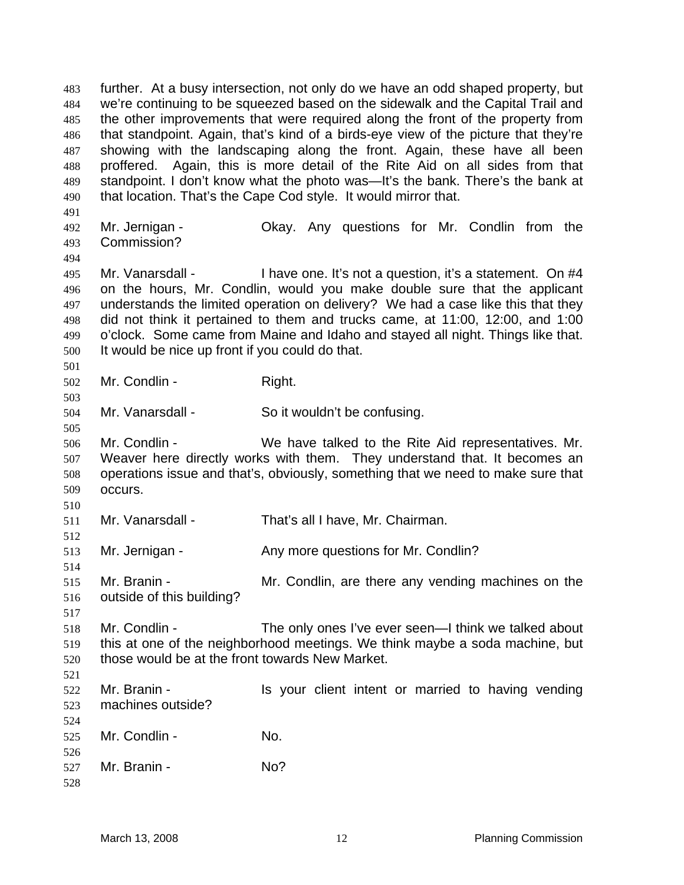further. At a busy intersection, not only do we have an odd shaped property, but we're continuing to be squeezed based on the sidewalk and the Capital Trail and the other improvements that were required along the front of the property from that standpoint. Again, that's kind of a birds-eye view of the picture that they're showing with the landscaping along the front. Again, these have all been proffered. Again, this is more detail of the Rite Aid on all sides from that standpoint. I don't know what the photo was—It's the bank. There's the bank at that location. That's the Cape Cod style. It would mirror that. 483 484 485 486 487 488 489 490 491 492 493 494 495 496 497 498 499 500 501 502 503 504 505 506 507 508 509 510 511 512 513 514 515 516 517 518 519 520 521 522 523 524 525 526 527 528 Mr. Jernigan - Ckay. Any questions for Mr. Condlin from the Commission? Mr. Vanarsdall - I have one. It's not a question, it's a statement. On #4 on the hours, Mr. Condlin, would you make double sure that the applicant understands the limited operation on delivery? We had a case like this that they did not think it pertained to them and trucks came, at 11:00, 12:00, and 1:00 o'clock. Some came from Maine and Idaho and stayed all night. Things like that. It would be nice up front if you could do that. Mr. Condlin - Right. Mr. Vanarsdall - So it wouldn't be confusing. Mr. Condlin - We have talked to the Rite Aid representatives. Mr. Weaver here directly works with them. They understand that. It becomes an operations issue and that's, obviously, something that we need to make sure that occurs. Mr. Vanarsdall - That's all I have, Mr. Chairman. Mr. Jernigan - Any more questions for Mr. Condlin? Mr. Branin - The Mr. Condlin, are there any vending machines on the outside of this building? Mr. Condlin - The only ones I've ever seen—I think we talked about this at one of the neighborhood meetings. We think maybe a soda machine, but those would be at the front towards New Market. Mr. Branin - The State of the Vour client intent or married to having vending machines outside? Mr. Condlin - No. Mr. Branin - No?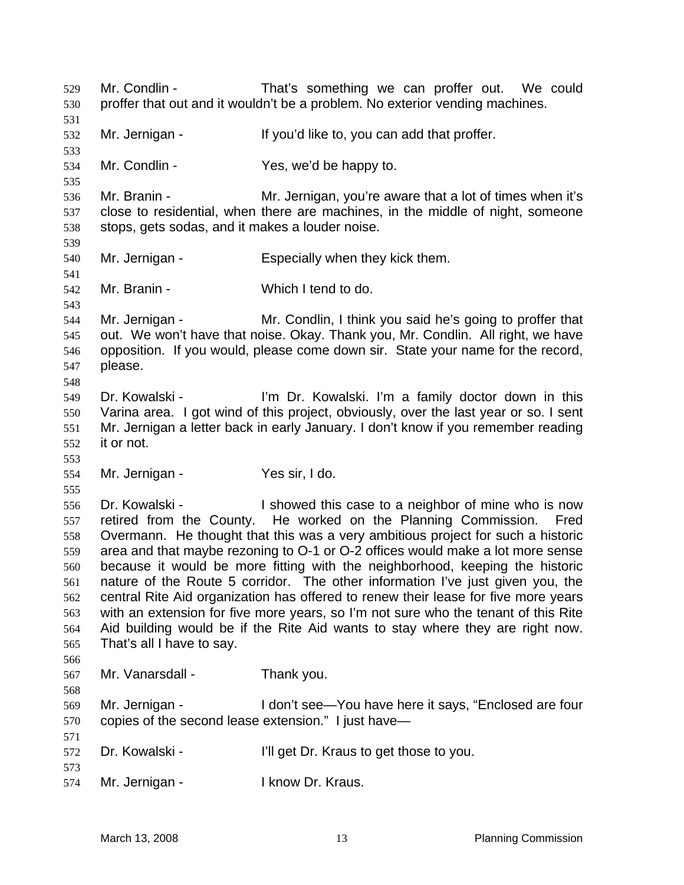Mr. Condlin - That's something we can proffer out. We could proffer that out and it wouldn't be a problem. No exterior vending machines. 529 530 531 532 533 534 535 536 537 538 539 540 541 542 543 544 545 546 547 548 549 550 551 552 553 554 555 556 557 558 559 560 561 562 563 564 565 566 567 568 569 570 571 572 573 574 Mr. Jernigan - If you'd like to, you can add that proffer. Mr. Condlin - Yes, we'd be happy to. Mr. Branin - The Mr. Jernigan, you're aware that a lot of times when it's close to residential, when there are machines, in the middle of night, someone stops, gets sodas, and it makes a louder noise. Mr. Jernigan - Especially when they kick them. Mr. Branin - Which I tend to do. Mr. Jernigan - Mr. Condlin, I think you said he's going to proffer that out. We won't have that noise. Okay. Thank you, Mr. Condlin. All right, we have opposition. If you would, please come down sir. State your name for the record, please. Dr. Kowalski - I'm Dr. Kowalski. I'm a family doctor down in this Varina area. I got wind of this project, obviously, over the last year or so. I sent Mr. Jernigan a letter back in early January. I don't know if you remember reading it or not. Mr. Jernigan - Yes sir, I do. Dr. Kowalski - The Showed this case to a neighbor of mine who is now retired from the County. He worked on the Planning Commission. Fred Overmann. He thought that this was a very ambitious project for such a historic area and that maybe rezoning to O-1 or O-2 offices would make a lot more sense because it would be more fitting with the neighborhood, keeping the historic nature of the Route 5 corridor. The other information I've just given you, the central Rite Aid organization has offered to renew their lease for five more years with an extension for five more years, so I'm not sure who the tenant of this Rite Aid building would be if the Rite Aid wants to stay where they are right now. That's all I have to say. Mr. Vanarsdall - Thank you. Mr. Jernigan - The Mon't see—You have here it says, "Enclosed are four copies of the second lease extension." I just have— Dr. Kowalski - I'll get Dr. Kraus to get those to you. Mr. Jernigan - The Read of the Uknow Dr. Kraus.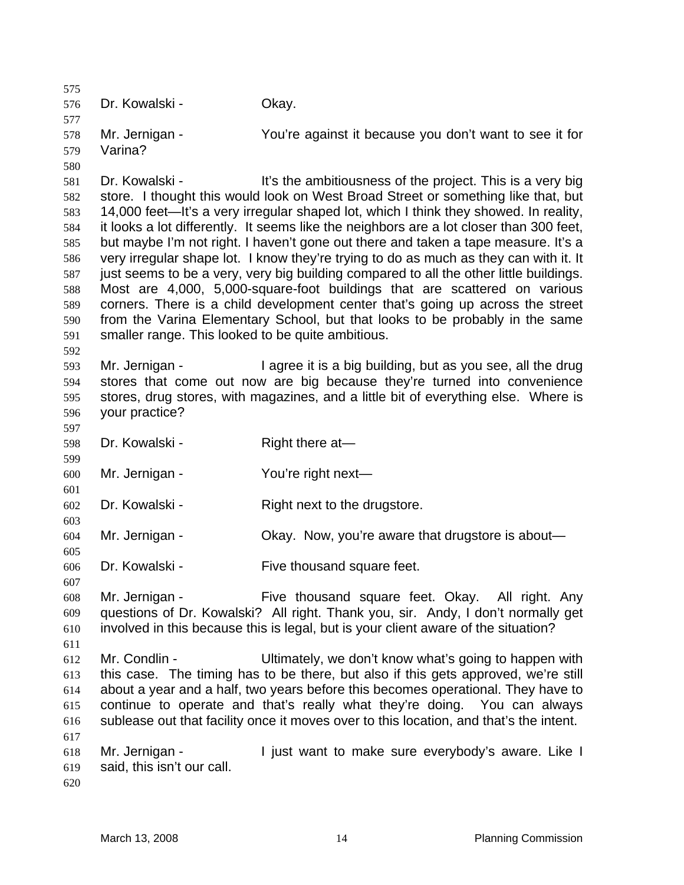575 576 577 578 579 580 581 582 583 584 585 586 587 588 589 590 591 592 593 594 595 596 597 598 599 600 601 602 603 604 605 606 607 608 609 610 611 612 613 614 615 616 617 618 619 620 Dr. Kowalski - Okay. Mr. Jernigan - You're against it because you don't want to see it for Varina? Dr. Kowalski - This it's the ambitiousness of the project. This is a very big store. I thought this would look on West Broad Street or something like that, but 14,000 feet—It's a very irregular shaped lot, which I think they showed. In reality, it looks a lot differently. It seems like the neighbors are a lot closer than 300 feet, but maybe I'm not right. I haven't gone out there and taken a tape measure. It's a very irregular shape lot. I know they're trying to do as much as they can with it. It just seems to be a very, very big building compared to all the other little buildings. Most are 4,000, 5,000-square-foot buildings that are scattered on various corners. There is a child development center that's going up across the street from the Varina Elementary School, but that looks to be probably in the same smaller range. This looked to be quite ambitious. Mr. Jernigan - I agree it is a big building, but as you see, all the drug stores that come out now are big because they're turned into convenience stores, drug stores, with magazines, and a little bit of everything else. Where is your practice? Dr. Kowalski - Right there at Mr. Jernigan - You're right next— Dr. Kowalski - Right next to the drugstore. Mr. Jernigan - Ckay. Now, you're aware that drugstore is about— Dr. Kowalski - Five thousand square feet. Mr. Jernigan - Five thousand square feet. Okay. All right. Any questions of Dr. Kowalski? All right. Thank you, sir. Andy, I don't normally get involved in this because this is legal, but is your client aware of the situation? Mr. Condlin - Ultimately, we don't know what's going to happen with this case. The timing has to be there, but also if this gets approved, we're still about a year and a half, two years before this becomes operational. They have to continue to operate and that's really what they're doing. You can always sublease out that facility once it moves over to this location, and that's the intent. Mr. Jernigan - The Solist want to make sure everybody's aware. Like I said, this isn't our call.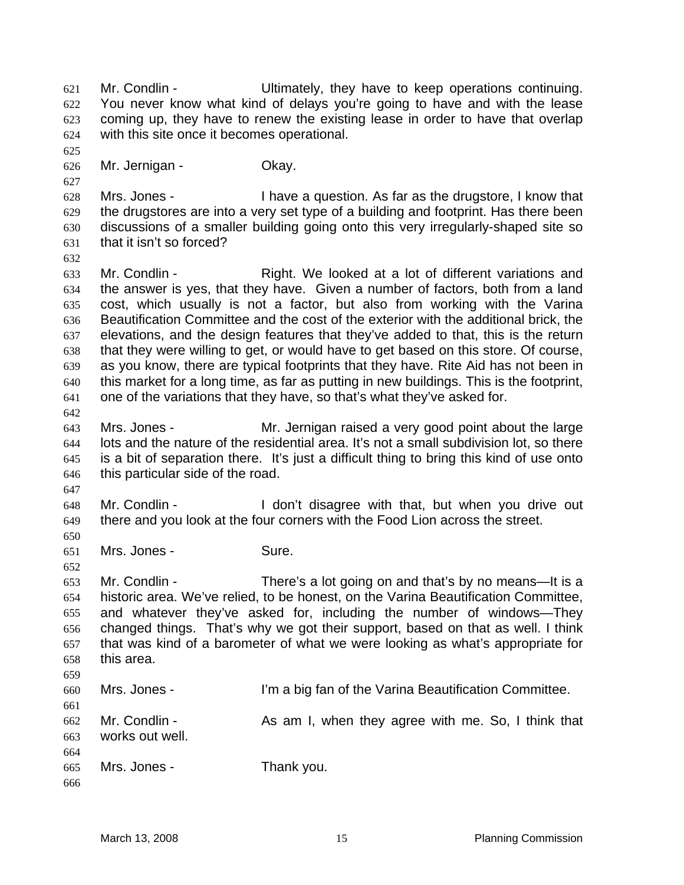Mr. Condlin - Ultimately, they have to keep operations continuing. You never know what kind of delays you're going to have and with the lease coming up, they have to renew the existing lease in order to have that overlap with this site once it becomes operational. 621 622 623 624 625

626 Mr. Jernigan - Ckay.

628 629 630 631 Mrs. Jones - I have a question. As far as the drugstore, I know that the drugstores are into a very set type of a building and footprint. Has there been discussions of a smaller building going onto this very irregularly-shaped site so that it isn't so forced?

632

627

633 634 635 636 637 638 639 640 641 Mr. Condlin - The Right. We looked at a lot of different variations and the answer is yes, that they have. Given a number of factors, both from a land cost, which usually is not a factor, but also from working with the Varina Beautification Committee and the cost of the exterior with the additional brick, the elevations, and the design features that they've added to that, this is the return that they were willing to get, or would have to get based on this store. Of course, as you know, there are typical footprints that they have. Rite Aid has not been in this market for a long time, as far as putting in new buildings. This is the footprint, one of the variations that they have, so that's what they've asked for.

- 643 644 645 646 Mrs. Jones - Mr. Jernigan raised a very good point about the large lots and the nature of the residential area. It's not a small subdivision lot, so there is a bit of separation there. It's just a difficult thing to bring this kind of use onto this particular side of the road.
- 647

652

642

648 649 650 Mr. Condlin - The Muslim Condlinum of I don't disagree with that, but when you drive out there and you look at the four corners with the Food Lion across the street.

651 Mrs. Jones - Sure.

653 654 655 656 657 658 659 Mr. Condlin - There's a lot going on and that's by no means—It is a historic area. We've relied, to be honest, on the Varina Beautification Committee, and whatever they've asked for, including the number of windows—They changed things. That's why we got their support, based on that as well. I think that was kind of a barometer of what we were looking as what's appropriate for this area.

660 661 Mrs. Jones - I'm a big fan of the Varina Beautification Committee.

662 663 664 Mr. Condlin - The As am I, when they agree with me. So, I think that works out well.

665 Mrs. Jones - Thank you.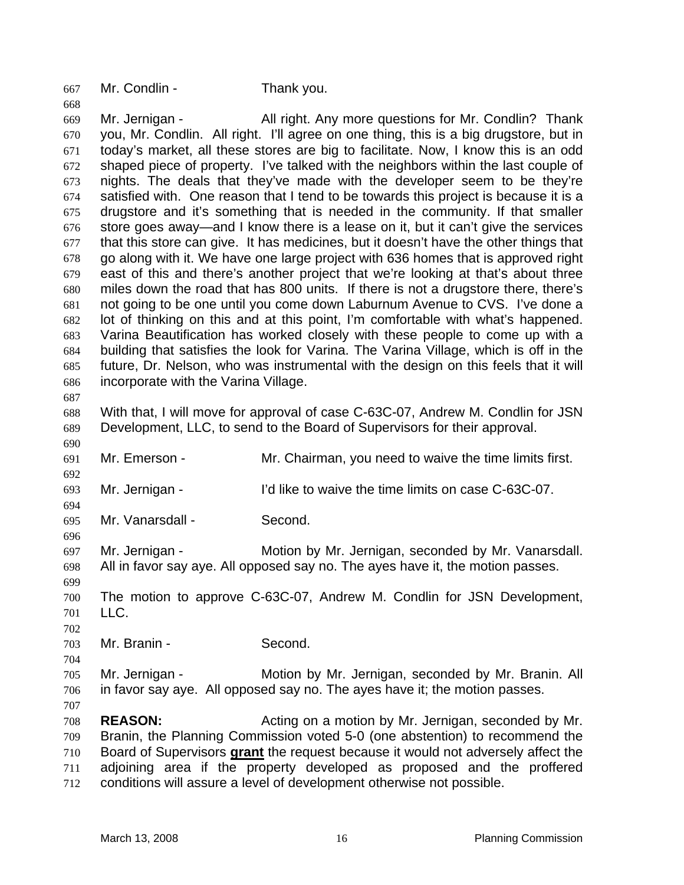667 Mr. Condlin - Thank you.

669 670 671 672 673 674 675 676 677 678 679 680 681 682 683 684 685 686 687 Mr. Jernigan - All right. Any more questions for Mr. Condlin? Thank you, Mr. Condlin. All right. I'll agree on one thing, this is a big drugstore, but in today's market, all these stores are big to facilitate. Now, I know this is an odd shaped piece of property. I've talked with the neighbors within the last couple of nights. The deals that they've made with the developer seem to be they're satisfied with. One reason that I tend to be towards this project is because it is a drugstore and it's something that is needed in the community. If that smaller store goes away—and I know there is a lease on it, but it can't give the services that this store can give. It has medicines, but it doesn't have the other things that go along with it. We have one large project with 636 homes that is approved right east of this and there's another project that we're looking at that's about three miles down the road that has 800 units. If there is not a drugstore there, there's not going to be one until you come down Laburnum Avenue to CVS. I've done a lot of thinking on this and at this point, I'm comfortable with what's happened. Varina Beautification has worked closely with these people to come up with a building that satisfies the look for Varina. The Varina Village, which is off in the future, Dr. Nelson, who was instrumental with the design on this feels that it will incorporate with the Varina Village.

688 689 With that, I will move for approval of case C-63C-07, Andrew M. Condlin for JSN Development, LLC, to send to the Board of Supervisors for their approval.

691 Mr. Emerson - Mr. Chairman, you need to waive the time limits first.

693 Mr. Jernigan - I'd like to waive the time limits on case C-63C-07.

695 Mr. Vanarsdall - Second.

697 698 Mr. Jernigan - Motion by Mr. Jernigan, seconded by Mr. Vanarsdall. All in favor say aye. All opposed say no. The ayes have it, the motion passes.

699 700 701 The motion to approve C-63C-07, Andrew M. Condlin for JSN Development, LLC.

703 Mr. Branin - Second.

705 706 Mr. Jernigan - Motion by Mr. Jernigan, seconded by Mr. Branin. All in favor say aye. All opposed say no. The ayes have it; the motion passes.

707

702

704

690

692

694

696

668

708 709 **REASON:** Acting on a motion by Mr. Jernigan, seconded by Mr. Branin, the Planning Commission voted 5-0 (one abstention) to recommend the Board of Supervisors **grant** the request because it would not adversely affect the adjoining area if the property developed as proposed and the proffered conditions will assure a level of development otherwise not possible. 710 711 712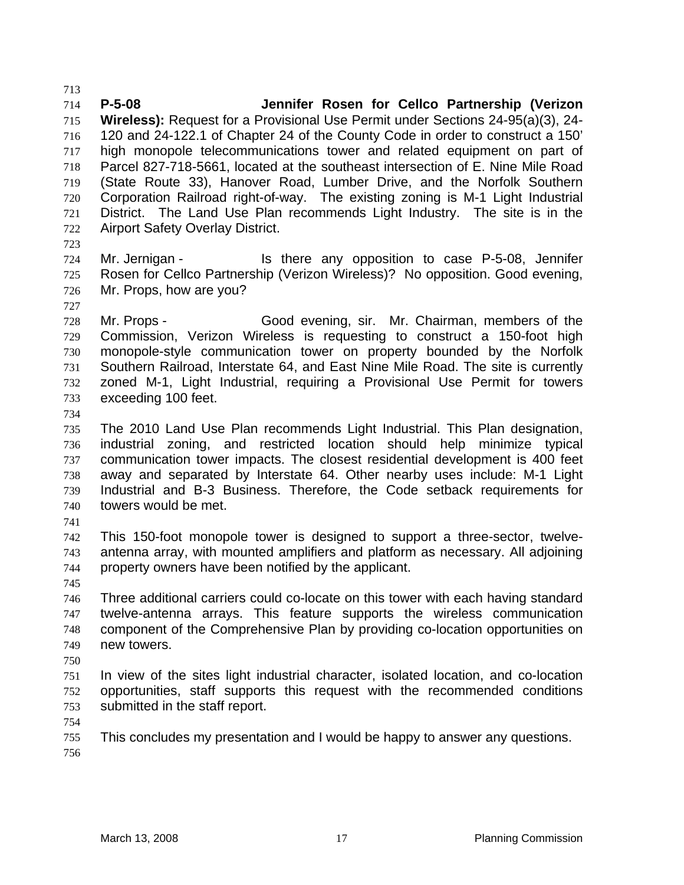714 715 716 717 718 719 720 721 722 **P-5-08 Jennifer Rosen for Cellco Partnership (Verizon Wireless):** Request for a Provisional Use Permit under Sections 24-95(a)(3), 24- 120 and 24-122.1 of Chapter 24 of the County Code in order to construct a 150' high monopole telecommunications tower and related equipment on part of Parcel 827-718-5661, located at the southeast intersection of E. Nine Mile Road (State Route 33), Hanover Road, Lumber Drive, and the Norfolk Southern Corporation Railroad right-of-way. The existing zoning is M-1 Light Industrial District. The Land Use Plan recommends Light Industry. The site is in the Airport Safety Overlay District.

723

727

713

724 725 726 Mr. Jernigan - The State any opposition to case P-5-08, Jennifer Rosen for Cellco Partnership (Verizon Wireless)? No opposition. Good evening, Mr. Props, how are you?

728 729 730 731 732 733 Mr. Props - Good evening, sir. Mr. Chairman, members of the Commission, Verizon Wireless is requesting to construct a 150-foot high monopole-style communication tower on property bounded by the Norfolk Southern Railroad, Interstate 64, and East Nine Mile Road. The site is currently zoned M-1, Light Industrial, requiring a Provisional Use Permit for towers exceeding 100 feet.

734

735 736 737 738 739 740 The 2010 Land Use Plan recommends Light Industrial. This Plan designation, industrial zoning, and restricted location should help minimize typical communication tower impacts. The closest residential development is 400 feet away and separated by Interstate 64. Other nearby uses include: M-1 Light Industrial and B-3 Business. Therefore, the Code setback requirements for towers would be met.

741

742 743 744 This 150-foot monopole tower is designed to support a three-sector, twelveantenna array, with mounted amplifiers and platform as necessary. All adjoining property owners have been notified by the applicant.

745

746 747 748 749 Three additional carriers could co-locate on this tower with each having standard twelve-antenna arrays. This feature supports the wireless communication component of the Comprehensive Plan by providing co-location opportunities on new towers.

750

751 752 753 In view of the sites light industrial character, isolated location, and co-location opportunities, staff supports this request with the recommended conditions submitted in the staff report.

754

755 756 This concludes my presentation and I would be happy to answer any questions.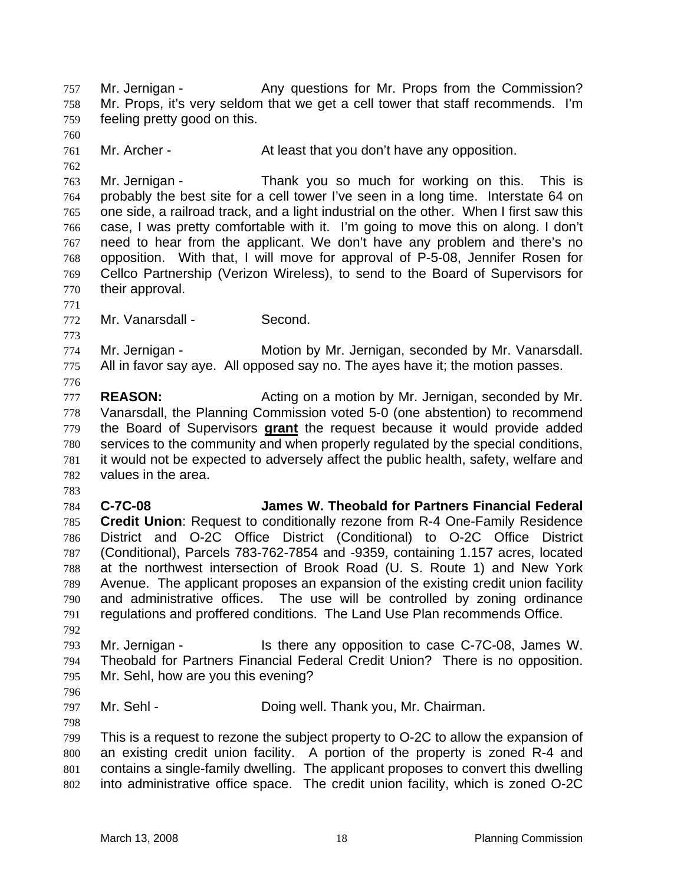Mr. Jernigan - The Any questions for Mr. Props from the Commission? Mr. Props, it's very seldom that we get a cell tower that staff recommends. I'm feeling pretty good on this. 757 758 759

761 Mr. Archer - The At least that you don't have any opposition.

763 764 765 766 767 768 769 770 Mr. Jernigan - Thank you so much for working on this. This is probably the best site for a cell tower I've seen in a long time. Interstate 64 on one side, a railroad track, and a light industrial on the other. When I first saw this case, I was pretty comfortable with it. I'm going to move this on along. I don't need to hear from the applicant. We don't have any problem and there's no opposition. With that, I will move for approval of P-5-08, Jennifer Rosen for Cellco Partnership (Verizon Wireless), to send to the Board of Supervisors for their approval.

771 772

773

776

760

762

Mr. Vanarsdall - Second.

774 775 Mr. Jernigan - **Motion by Mr. Jernigan, seconded by Mr. Vanarsdall.** All in favor say aye. All opposed say no. The ayes have it; the motion passes.

- 777 778 **REASON: Acting on a motion by Mr. Jernigan, seconded by Mr.** Vanarsdall, the Planning Commission voted 5-0 (one abstention) to recommend the Board of Supervisors **grant** the request because it would provide added services to the community and when properly regulated by the special conditions, it would not be expected to adversely affect the public health, safety, welfare and values in the area. 779 780 781 782
- 783

784 785 786 787 788 789 790 791 **C-7C-08 James W. Theobald for Partners Financial Federal Credit Union**: Request to conditionally rezone from R-4 One-Family Residence District and O-2C Office District (Conditional) to O-2C Office District (Conditional), Parcels 783-762-7854 and -9359, containing 1.157 acres, located at the northwest intersection of Brook Road (U. S. Route 1) and New York Avenue. The applicant proposes an expansion of the existing credit union facility and administrative offices. The use will be controlled by zoning ordinance regulations and proffered conditions. The Land Use Plan recommends Office.

792

793 794 795 Mr. Jernigan - Is there any opposition to case C-7C-08, James W. Theobald for Partners Financial Federal Credit Union? There is no opposition. Mr. Sehl, how are you this evening?

796

798

797 Mr. Sehl - **Doing well. Thank you, Mr. Chairman.** 

799 800 801 802 This is a request to rezone the subject property to O-2C to allow the expansion of an existing credit union facility. A portion of the property is zoned R-4 and contains a single-family dwelling. The applicant proposes to convert this dwelling into administrative office space. The credit union facility, which is zoned O-2C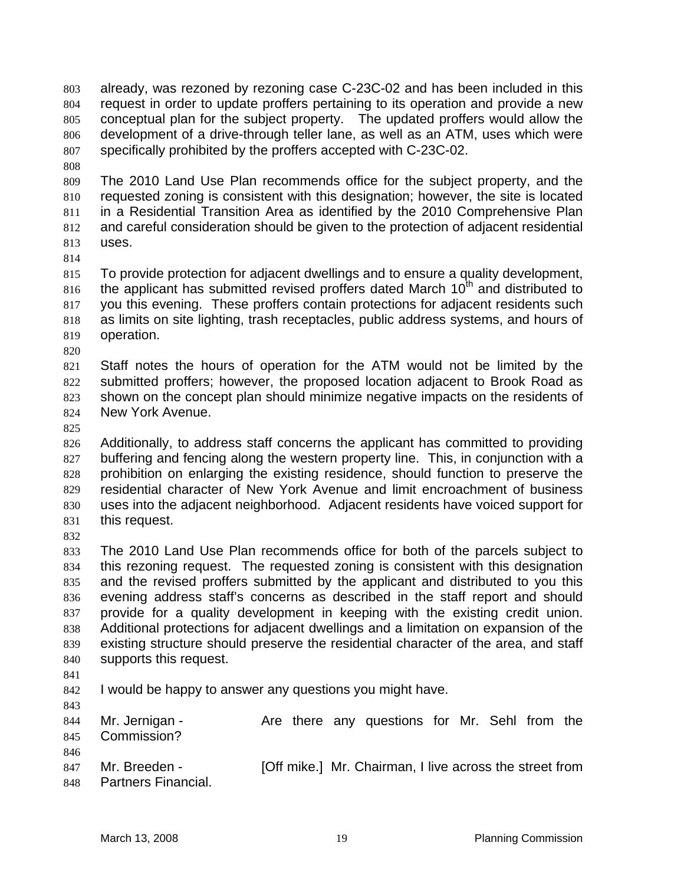already, was rezoned by rezoning case C-23C-02 and has been included in this request in order to update proffers pertaining to its operation and provide a new conceptual plan for the subject property. The updated proffers would allow the development of a drive-through teller lane, as well as an ATM, uses which were specifically prohibited by the proffers accepted with C-23C-02. 803 804 805 806 807

808

809 810 811 812 813 The 2010 Land Use Plan recommends office for the subject property, and the requested zoning is consistent with this designation; however, the site is located in a Residential Transition Area as identified by the 2010 Comprehensive Plan and careful consideration should be given to the protection of adjacent residential uses.

814

815 816 817 818 819 To provide protection for adjacent dwellings and to ensure a quality development, the applicant has submitted revised proffers dated March  $10<sup>th</sup>$  and distributed to you this evening. These proffers contain protections for adjacent residents such as limits on site lighting, trash receptacles, public address systems, and hours of operation.

820

821 822 823 824 Staff notes the hours of operation for the ATM would not be limited by the submitted proffers; however, the proposed location adjacent to Brook Road as shown on the concept plan should minimize negative impacts on the residents of New York Avenue.

825

826 827 828 829 830 831 Additionally, to address staff concerns the applicant has committed to providing buffering and fencing along the western property line. This, in conjunction with a prohibition on enlarging the existing residence, should function to preserve the residential character of New York Avenue and limit encroachment of business uses into the adjacent neighborhood. Adjacent residents have voiced support for this request.

832

833 834 835 836 837 838 839 840 The 2010 Land Use Plan recommends office for both of the parcels subject to this rezoning request. The requested zoning is consistent with this designation and the revised proffers submitted by the applicant and distributed to you this evening address staff's concerns as described in the staff report and should provide for a quality development in keeping with the existing credit union. Additional protections for adjacent dwellings and a limitation on expansion of the existing structure should preserve the residential character of the area, and staff supports this request.

- 841
- 842 I would be happy to answer any questions you might have.
- 843

844 845 846 Mr. Jernigan - The Are there any questions for Mr. Sehl from the Commission?

847 848 Mr. Breeden - **[Off mike.]** Mr. Chairman, I live across the street from Partners Financial.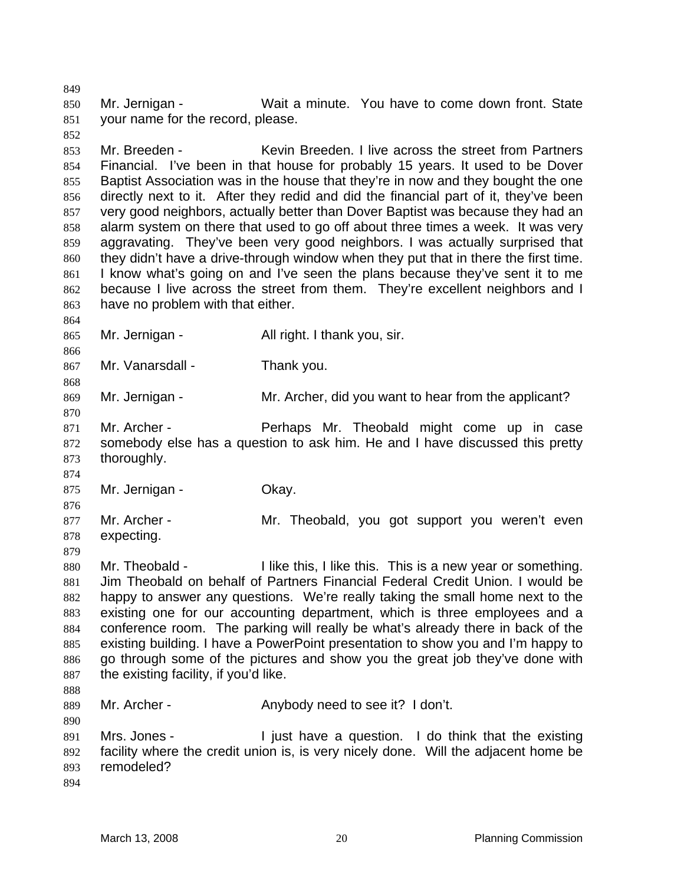850 851 Mr. Jernigan - Wait a minute. You have to come down front. State your name for the record, please.

853 854 855 856 857 858 859 860 861 862 863 Mr. Breeden - Kevin Breeden. I live across the street from Partners Financial. I've been in that house for probably 15 years. It used to be Dover Baptist Association was in the house that they're in now and they bought the one directly next to it. After they redid and did the financial part of it, they've been very good neighbors, actually better than Dover Baptist was because they had an alarm system on there that used to go off about three times a week. It was very aggravating. They've been very good neighbors. I was actually surprised that they didn't have a drive-through window when they put that in there the first time. I know what's going on and I've seen the plans because they've sent it to me because I live across the street from them. They're excellent neighbors and I have no problem with that either.

864 865

866 867

874

879

849

852

Mr. Vanarsdall - Thank you.

Mr. Jernigan - All right. I thank you, sir.

868 869 Mr. Jernigan - The Mr. Archer, did you want to hear from the applicant?

870 871 872 873 Mr. Archer - Perhaps Mr. Theobald might come up in case somebody else has a question to ask him. He and I have discussed this pretty thoroughly.

875 Mr. Jernigan - **Okay.** 

876 877 878 Mr. Archer - **Mr.** Theobald, you got support you weren't even expecting.

880 881 882 883 884 885 886 887 888 Mr. Theobald - I like this, I like this. This is a new year or something. Jim Theobald on behalf of Partners Financial Federal Credit Union. I would be happy to answer any questions. We're really taking the small home next to the existing one for our accounting department, which is three employees and a conference room. The parking will really be what's already there in back of the existing building. I have a PowerPoint presentation to show you and I'm happy to go through some of the pictures and show you the great job they've done with the existing facility, if you'd like.

889 Mr. Archer - The Anybody need to see it? I don't.

891 892 893 Mrs. Jones - I just have a question. I do think that the existing facility where the credit union is, is very nicely done. Will the adjacent home be remodeled?

894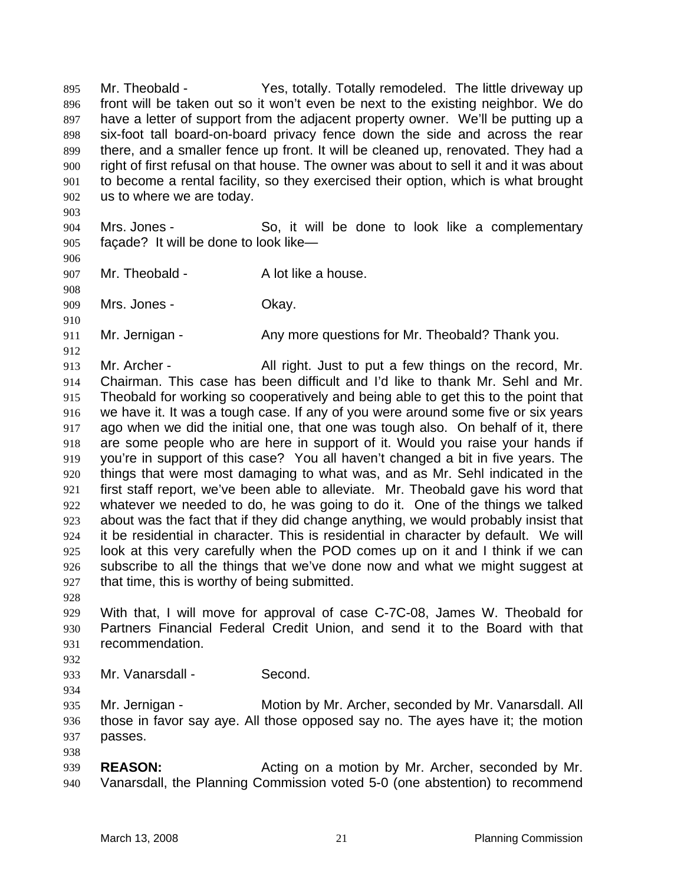Mr. Theobald - Theorem Yes, totally. Totally remodeled. The little driveway up front will be taken out so it won't even be next to the existing neighbor. We do have a letter of support from the adjacent property owner. We'll be putting up a six-foot tall board-on-board privacy fence down the side and across the rear there, and a smaller fence up front. It will be cleaned up, renovated. They had a right of first refusal on that house. The owner was about to sell it and it was about to become a rental facility, so they exercised their option, which is what brought us to where we are today. 895 896 897 898 899 900 901 902

904 905 Mrs. Jones - So, it will be done to look like a complementary façade? It will be done to look like—

906

908

910

912

903

907 Mr. Theobald - A lot like a house.

909 Mrs. Jones - Ckay.

911 Mr. Jernigan - Any more questions for Mr. Theobald? Thank you.

- 913 914 915 916 917 918 919 920 921 922 923 924 925 926 927 Mr. Archer - All right. Just to put a few things on the record, Mr. Chairman. This case has been difficult and I'd like to thank Mr. Sehl and Mr. Theobald for working so cooperatively and being able to get this to the point that we have it. It was a tough case. If any of you were around some five or six years ago when we did the initial one, that one was tough also. On behalf of it, there are some people who are here in support of it. Would you raise your hands if you're in support of this case? You all haven't changed a bit in five years. The things that were most damaging to what was, and as Mr. Sehl indicated in the first staff report, we've been able to alleviate. Mr. Theobald gave his word that whatever we needed to do, he was going to do it. One of the things we talked about was the fact that if they did change anything, we would probably insist that it be residential in character. This is residential in character by default. We will look at this very carefully when the POD comes up on it and I think if we can subscribe to all the things that we've done now and what we might suggest at that time, this is worthy of being submitted.
- 928

929 930 931 With that, I will move for approval of case C-7C-08, James W. Theobald for Partners Financial Federal Credit Union, and send it to the Board with that recommendation.

932

934

938

933 Mr. Vanarsdall - Second.

935 936 937 Mr. Jernigan - Motion by Mr. Archer, seconded by Mr. Vanarsdall. All those in favor say aye. All those opposed say no. The ayes have it; the motion passes.

939 940 **REASON:** Acting on a motion by Mr. Archer, seconded by Mr. Vanarsdall, the Planning Commission voted 5-0 (one abstention) to recommend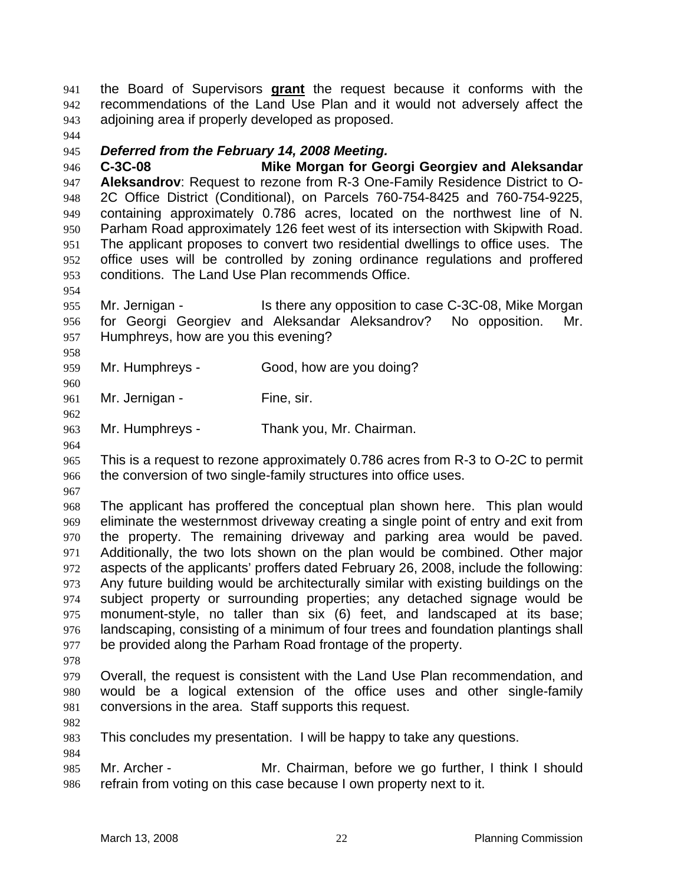the Board of Supervisors **grant** the request because it conforms with the recommendations of the Land Use Plan and it would not adversely affect the adjoining area if properly developed as proposed. 941 942 943

944

### 945 *Deferred from the February 14, 2008 Meeting.*

946 947 948 949 950 951 952 953 **C-3C-08 Mike Morgan for Georgi Georgiev and Aleksandar Aleksandrov**: Request to rezone from R-3 One-Family Residence District to O-2C Office District (Conditional), on Parcels 760-754-8425 and 760-754-9225, containing approximately 0.786 acres, located on the northwest line of N. Parham Road approximately 126 feet west of its intersection with Skipwith Road. The applicant proposes to convert two residential dwellings to office uses. The office uses will be controlled by zoning ordinance regulations and proffered conditions. The Land Use Plan recommends Office.

955 956 957 Mr. Jernigan - The Is there any opposition to case C-3C-08, Mike Morgan for Georgi Georgiev and Aleksandar Aleksandrov? No opposition. Mr. Humphreys, how are you this evening?

959 Mr. Humphreys - Good, how are you doing?

961 Mr. Jernigan - Fine, sir.

963 Mr. Humphreys - Thank you, Mr. Chairman.

964

954

958

960

962

965 966 This is a request to rezone approximately 0.786 acres from R-3 to O-2C to permit the conversion of two single-family structures into office uses.

967

968 969 970 971 972 973 974 975 976 977 The applicant has proffered the conceptual plan shown here. This plan would eliminate the westernmost driveway creating a single point of entry and exit from the property. The remaining driveway and parking area would be paved. Additionally, the two lots shown on the plan would be combined. Other major aspects of the applicants' proffers dated February 26, 2008, include the following: Any future building would be architecturally similar with existing buildings on the subject property or surrounding properties; any detached signage would be monument-style, no taller than six (6) feet, and landscaped at its base; landscaping, consisting of a minimum of four trees and foundation plantings shall be provided along the Parham Road frontage of the property.

978

979 980 981 Overall, the request is consistent with the Land Use Plan recommendation, and would be a logical extension of the office uses and other single-family conversions in the area. Staff supports this request.

982

984

983 This concludes my presentation. I will be happy to take any questions.

985 986 Mr. Archer - **Mr. Chairman, before we go further, I think I should** refrain from voting on this case because I own property next to it.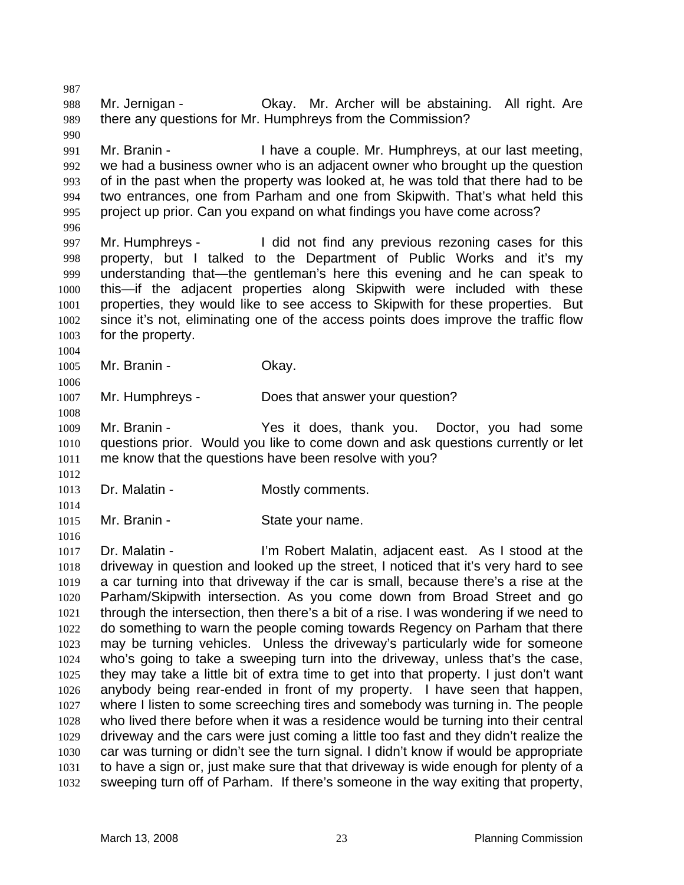988 989 990 991 992 993 994 995 996 997 998 999 1000 1001 1002 1003 1004 1005 1006 1007 1008 1009 1010 1011 1012 1013 1014 1015 1016 1017 1018 1019 1020 1021 1022 1023 1024 1025 1026 1027 1028 1029 1030 1031 1032 Mr. Jernigan - **Okay.** Mr. Archer will be abstaining. All right. Are there any questions for Mr. Humphreys from the Commission? Mr. Branin - I have a couple. Mr. Humphreys, at our last meeting, we had a business owner who is an adjacent owner who brought up the question of in the past when the property was looked at, he was told that there had to be two entrances, one from Parham and one from Skipwith. That's what held this project up prior. Can you expand on what findings you have come across? Mr. Humphreys - I did not find any previous rezoning cases for this property, but I talked to the Department of Public Works and it's my understanding that—the gentleman's here this evening and he can speak to this—if the adjacent properties along Skipwith were included with these properties, they would like to see access to Skipwith for these properties. But since it's not, eliminating one of the access points does improve the traffic flow for the property. Mr. Branin - Ckay. Mr. Humphreys - Does that answer your question? Mr. Branin - Yes it does, thank you. Doctor, you had some questions prior. Would you like to come down and ask questions currently or let me know that the questions have been resolve with you? Dr. Malatin - **Mostly comments.** Mr. Branin - State your name. Dr. Malatin - The State of The Robert Malatin, adjacent east. As I stood at the driveway in question and looked up the street, I noticed that it's very hard to see a car turning into that driveway if the car is small, because there's a rise at the Parham/Skipwith intersection. As you come down from Broad Street and go through the intersection, then there's a bit of a rise. I was wondering if we need to do something to warn the people coming towards Regency on Parham that there may be turning vehicles. Unless the driveway's particularly wide for someone who's going to take a sweeping turn into the driveway, unless that's the case, they may take a little bit of extra time to get into that property. I just don't want anybody being rear-ended in front of my property. I have seen that happen, where I listen to some screeching tires and somebody was turning in. The people who lived there before when it was a residence would be turning into their central driveway and the cars were just coming a little too fast and they didn't realize the car was turning or didn't see the turn signal. I didn't know if would be appropriate to have a sign or, just make sure that that driveway is wide enough for plenty of a sweeping turn off of Parham. If there's someone in the way exiting that property,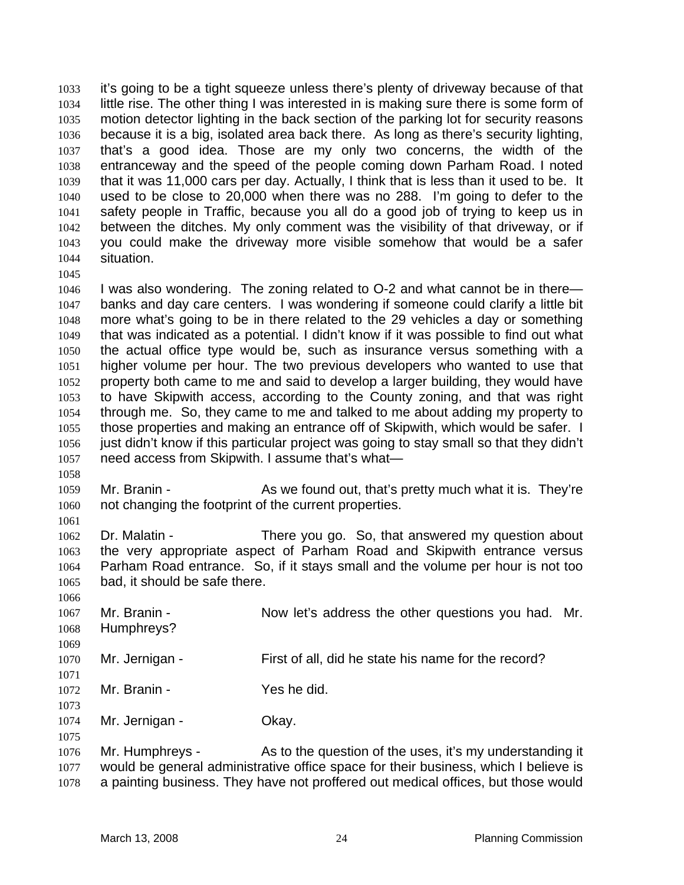it's going to be a tight squeeze unless there's plenty of driveway because of that little rise. The other thing I was interested in is making sure there is some form of motion detector lighting in the back section of the parking lot for security reasons because it is a big, isolated area back there. As long as there's security lighting, that's a good idea. Those are my only two concerns, the width of the entranceway and the speed of the people coming down Parham Road. I noted that it was 11,000 cars per day. Actually, I think that is less than it used to be. It used to be close to 20,000 when there was no 288. I'm going to defer to the safety people in Traffic, because you all do a good job of trying to keep us in between the ditches. My only comment was the visibility of that driveway, or if you could make the driveway more visible somehow that would be a safer situation. 1033 1034 1035 1036 1037 1038 1039 1040 1041 1042 1043 1044 1045

1046 1047 1048 1049 1050 1051 1052 1053 1054 1055 1056 1057 I was also wondering. The zoning related to O-2 and what cannot be in there banks and day care centers. I was wondering if someone could clarify a little bit more what's going to be in there related to the 29 vehicles a day or something that was indicated as a potential. I didn't know if it was possible to find out what the actual office type would be, such as insurance versus something with a higher volume per hour. The two previous developers who wanted to use that property both came to me and said to develop a larger building, they would have to have Skipwith access, according to the County zoning, and that was right through me. So, they came to me and talked to me about adding my property to those properties and making an entrance off of Skipwith, which would be safer. I just didn't know if this particular project was going to stay small so that they didn't need access from Skipwith. I assume that's what—

- 1059 1060 Mr. Branin - As we found out, that's pretty much what it is. They're not changing the footprint of the current properties.
- 1062 1063 1064 1065 Dr. Malatin - There you go. So, that answered my question about the very appropriate aspect of Parham Road and Skipwith entrance versus Parham Road entrance. So, if it stays small and the volume per hour is not too bad, it should be safe there.
- 1066 1067 1068 1069 1070 1071 1072 1073 1074 1075 1076 1077 Mr. Branin - The Now let's address the other questions you had. Mr. Humphreys? Mr. Jernigan - First of all, did he state his name for the record? Mr. Branin - Yes he did. Mr. Jernigan - **Okay.** Mr. Humphreys - As to the question of the uses, it's my understanding it would be general administrative office space for their business, which I believe is
- 1078 a painting business. They have not proffered out medical offices, but those would

1058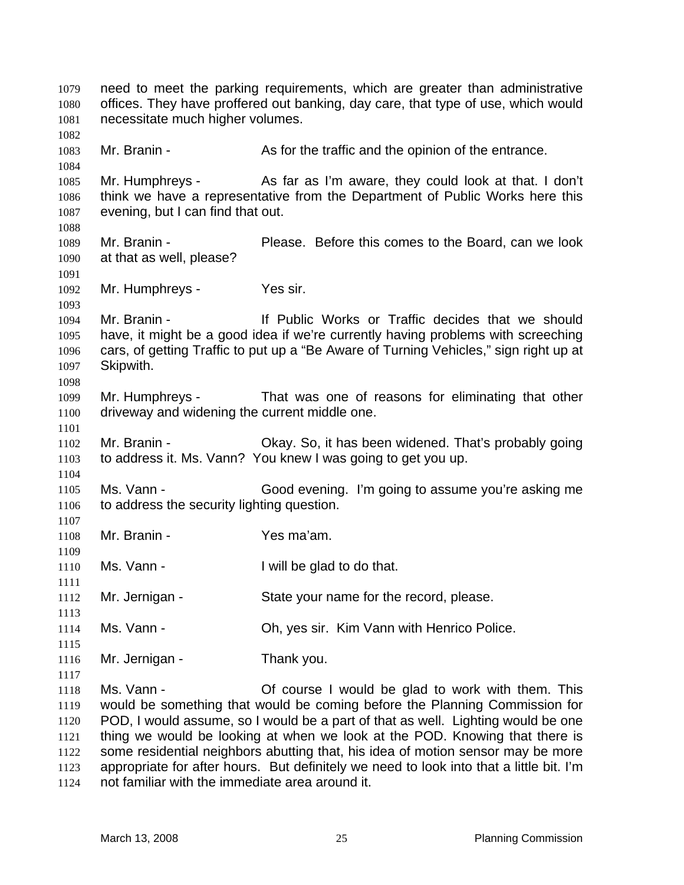need to meet the parking requirements, which are greater than administrative offices. They have proffered out banking, day care, that type of use, which would necessitate much higher volumes. 1079 1080 1081 1082 1083 1084 1085 1086 1087 1088 1089 1090 1091 1092 1093 1094 1095 1096 1097 1098 1099 1100 1101 1102 1103 1104 1105 1106 1107 1108 1109 1110 1111 1112 1113 1114 1115 1116 1117 1118 1119 1120 1121 1122 1123 1124 Mr. Branin - The As for the traffic and the opinion of the entrance. Mr. Humphreys - As far as I'm aware, they could look at that. I don't think we have a representative from the Department of Public Works here this evening, but I can find that out. Mr. Branin - Please. Before this comes to the Board, can we look at that as well, please? Mr. Humphreys - Yes sir. Mr. Branin - The Muslim Corresponding Mr. Branin - The Muslim Intervalse or Traffic decides that we should have, it might be a good idea if we're currently having problems with screeching cars, of getting Traffic to put up a "Be Aware of Turning Vehicles," sign right up at Skipwith. Mr. Humphreys - That was one of reasons for eliminating that other driveway and widening the current middle one. Mr. Branin - Chay. So, it has been widened. That's probably going to address it. Ms. Vann? You knew I was going to get you up. Ms. Vann - Good evening. I'm going to assume you're asking me to address the security lighting question. Mr. Branin - Yes ma'am. Ms. Vann - Twill be glad to do that. Mr. Jernigan - State your name for the record, please. Ms. Vann - **Oh, yes sir. Kim Vann with Henrico Police.** Mr. Jernigan - Thank you. Ms. Vann - This Course I would be glad to work with them. This would be something that would be coming before the Planning Commission for POD, I would assume, so I would be a part of that as well. Lighting would be one thing we would be looking at when we look at the POD. Knowing that there is some residential neighbors abutting that, his idea of motion sensor may be more appropriate for after hours. But definitely we need to look into that a little bit. I'm not familiar with the immediate area around it.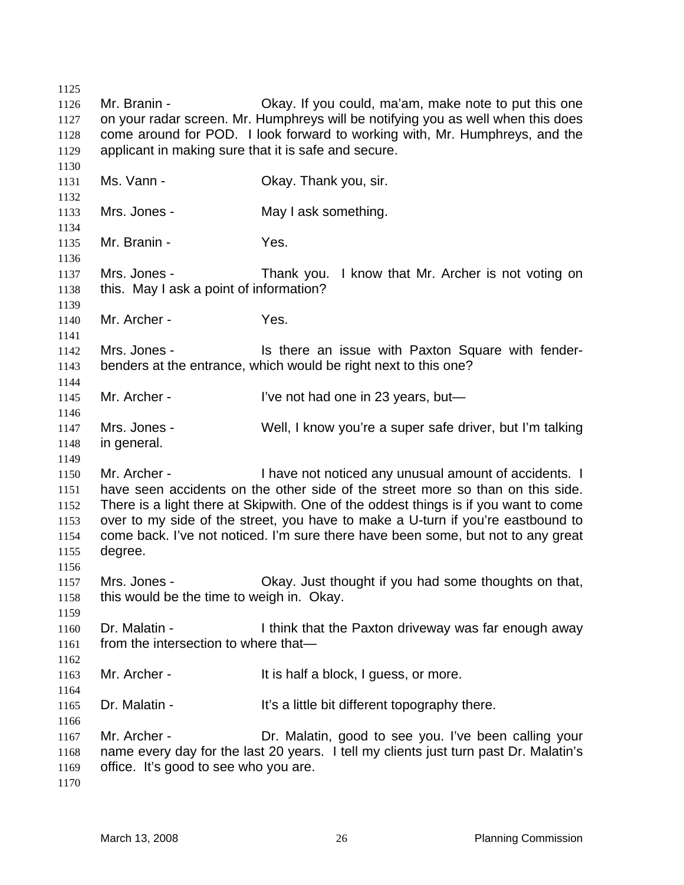1125 1126 1127 1128 1129 1130 1131 1132 1133 1134 1135 1136 1137 1138 1139 1140 1141 1142 1143 1144 1145 1146 1147 1148 1149 1150 1151 1152 1153 1154 1155 1156 1157 1158 1159 1160 1161 1162 1163 1164 1165 1166 1167 1168 1169 1170 Mr. Branin - Chay. If you could, ma'am, make note to put this one on your radar screen. Mr. Humphreys will be notifying you as well when this does come around for POD. I look forward to working with, Mr. Humphreys, and the applicant in making sure that it is safe and secure. Ms. Vann - **CKAV. Thank you, sir.** Mrs. Jones - The May I ask something. Mr. Branin - Yes. Mrs. Jones - Thank you. I know that Mr. Archer is not voting on this. May I ask a point of information? Mr. Archer - Yes. Mrs. Jones - The Mrs is there an issue with Paxton Square with fenderbenders at the entrance, which would be right next to this one? Mr. Archer - I've not had one in 23 years, but— Mrs. Jones - Well, I know you're a super safe driver, but I'm talking in general. Mr. Archer - Thave not noticed any unusual amount of accidents. I have seen accidents on the other side of the street more so than on this side. There is a light there at Skipwith. One of the oddest things is if you want to come over to my side of the street, you have to make a U-turn if you're eastbound to come back. I've not noticed. I'm sure there have been some, but not to any great degree. Mrs. Jones - Chay. Just thought if you had some thoughts on that, this would be the time to weigh in. Okay. Dr. Malatin - Think that the Paxton driveway was far enough away from the intersection to where that— Mr. Archer - It is half a block, I guess, or more. Dr. Malatin - It's a little bit different topography there. Mr. Archer - Dr. Malatin, good to see you. I've been calling your name every day for the last 20 years. I tell my clients just turn past Dr. Malatin's office. It's good to see who you are.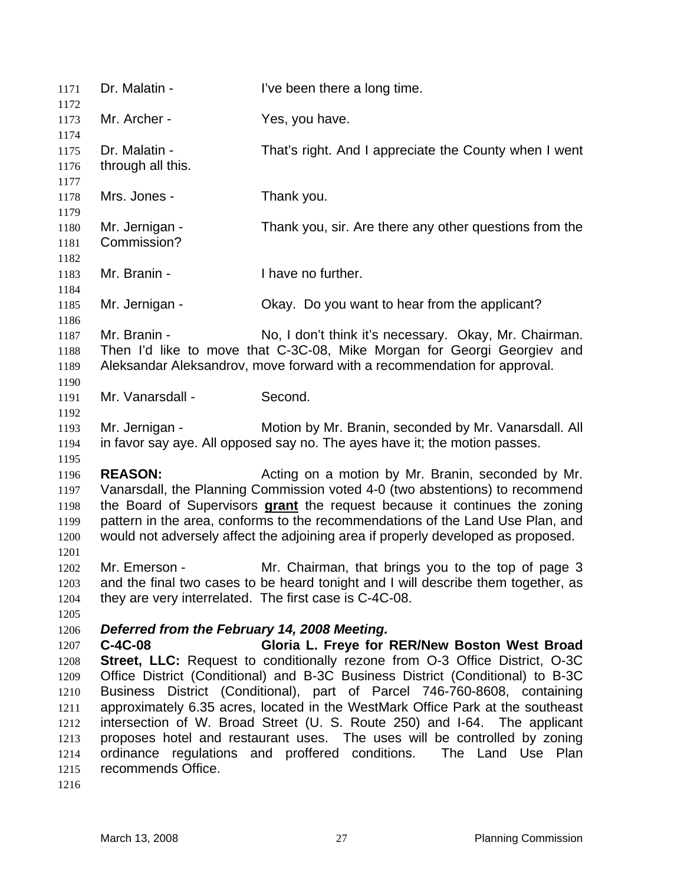1171 Dr. Malatin - I've been there a long time. 1172 1173 1174 1175 1176 1177 1178 1179 1180 1181 1182 1183 1184 1185 1186 1187 1188 1189 1190 1191 1192 1193 1194 1195 1196 1197 Mr. Archer - Yes, you have. Dr. Malatin - That's right. And I appreciate the County when I went through all this. Mrs. Jones - Thank you. Mr. Jernigan - Thank you, sir. Are there any other questions from the Commission? Mr. Branin - Thave no further. Mr. Jernigan - Okay. Do you want to hear from the applicant? Mr. Branin - No, I don't think it's necessary. Okay, Mr. Chairman. Then I'd like to move that C-3C-08, Mike Morgan for Georgi Georgiev and Aleksandar Aleksandrov, move forward with a recommendation for approval. Mr. Vanarsdall - Second. Mr. Jernigan - Motion by Mr. Branin, seconded by Mr. Vanarsdall. All in favor say aye. All opposed say no. The ayes have it; the motion passes. **REASON:** Acting on a motion by Mr. Branin, seconded by Mr. Vanarsdall, the Planning Commission voted 4-0 (two abstentions) to recommend the Board of Supervisors **grant** the request because it continues the zoning pattern in the area, conforms to the recommendations of the Land Use Plan, and would not adversely affect the adjoining area if properly developed as proposed. 1198 1199 1200 1201 1202 1203 1204 1205 1206 1207 1208 1209 1210 1211 1212 1213 1214 1215 Mr. Emerson - Mr. Chairman, that brings you to the top of page 3 and the final two cases to be heard tonight and I will describe them together, as they are very interrelated. The first case is C-4C-08. *Deferred from the February 14, 2008 Meeting.*  **C-4C-08 Gloria L. Freye for RER/New Boston West Broad Street, LLC:** Request to conditionally rezone from O-3 Office District, O-3C Office District (Conditional) and B-3C Business District (Conditional) to B-3C Business District (Conditional), part of Parcel 746-760-8608, containing approximately 6.35 acres, located in the WestMark Office Park at the southeast intersection of W. Broad Street (U. S. Route 250) and I-64. The applicant proposes hotel and restaurant uses. The uses will be controlled by zoning ordinance regulations and proffered conditions. The Land Use Plan recommends Office.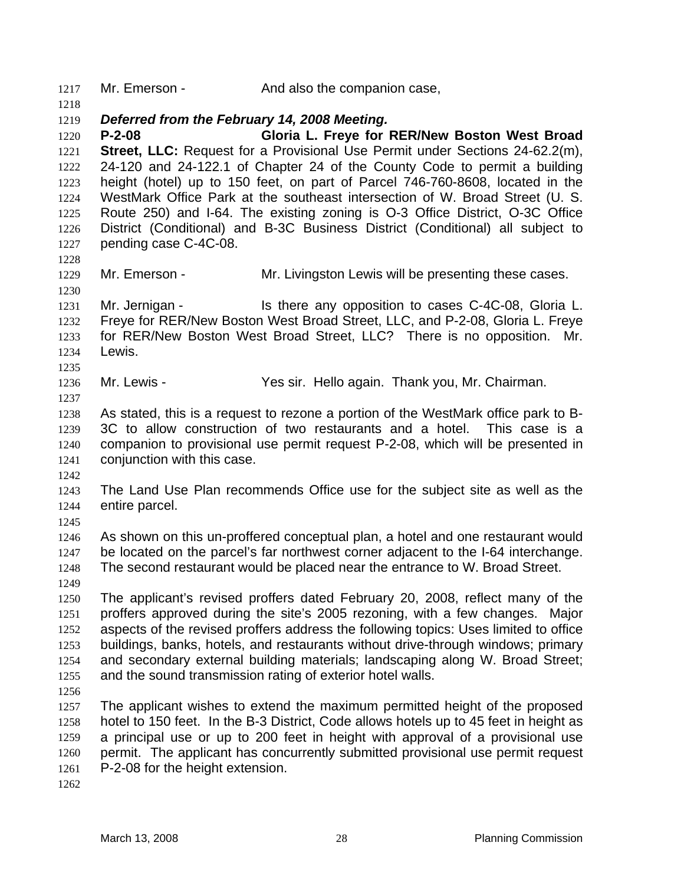1217 Mr. Emerson - And also the companion case,

1219 *Deferred from the February 14, 2008 Meeting.* 

1220 1221 1222 1223 1224 1225 1226 1227 **P-2-08 Gloria L. Freye for RER/New Boston West Broad Street, LLC:** Request for a Provisional Use Permit under Sections 24-62.2(m), 24-120 and 24-122.1 of Chapter 24 of the County Code to permit a building height (hotel) up to 150 feet, on part of Parcel 746-760-8608, located in the WestMark Office Park at the southeast intersection of W. Broad Street (U. S. Route 250) and I-64. The existing zoning is O-3 Office District, O-3C Office District (Conditional) and B-3C Business District (Conditional) all subject to pending case C-4C-08.

1228 1229

1230

1218

Mr. Emerson - Mr. Livingston Lewis will be presenting these cases.

1231 1232 1233 1234 Mr. Jernigan - The Stephen any opposition to cases C-4C-08, Gloria L. Freye for RER/New Boston West Broad Street, LLC, and P-2-08, Gloria L. Freye for RER/New Boston West Broad Street, LLC? There is no opposition. Mr. Lewis.

1236 Mr. Lewis - Yes sir. Hello again. Thank you, Mr. Chairman.

1237

1235

1238 1239 1240 1241 As stated, this is a request to rezone a portion of the WestMark office park to B-3C to allow construction of two restaurants and a hotel. This case is a companion to provisional use permit request P-2-08, which will be presented in conjunction with this case.

1242

1243 1244 The Land Use Plan recommends Office use for the subject site as well as the entire parcel.

1245

1246 1247 1248 As shown on this un-proffered conceptual plan, a hotel and one restaurant would be located on the parcel's far northwest corner adjacent to the I-64 interchange. The second restaurant would be placed near the entrance to W. Broad Street.

1249

1250 1251 1252 1253 1254 1255 The applicant's revised proffers dated February 20, 2008, reflect many of the proffers approved during the site's 2005 rezoning, with a few changes. Major aspects of the revised proffers address the following topics: Uses limited to office buildings, banks, hotels, and restaurants without drive-through windows; primary and secondary external building materials; landscaping along W. Broad Street; and the sound transmission rating of exterior hotel walls.

1256

1257 1258 1259 1260 1261 The applicant wishes to extend the maximum permitted height of the proposed hotel to 150 feet. In the B-3 District, Code allows hotels up to 45 feet in height as a principal use or up to 200 feet in height with approval of a provisional use permit. The applicant has concurrently submitted provisional use permit request P-2-08 for the height extension.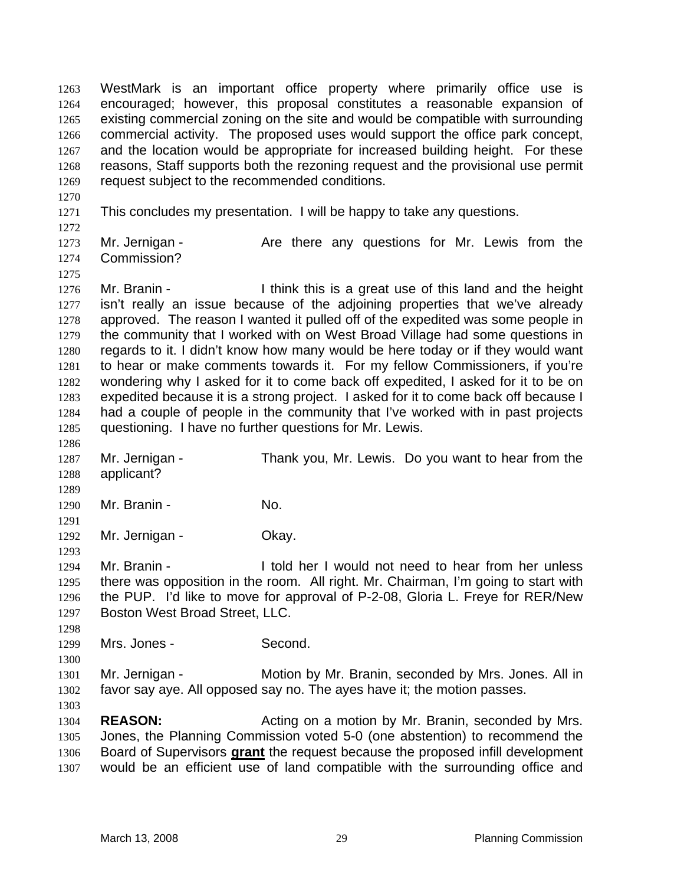WestMark is an important office property where primarily office use is encouraged; however, this proposal constitutes a reasonable expansion of existing commercial zoning on the site and would be compatible with surrounding commercial activity. The proposed uses would support the office park concept, and the location would be appropriate for increased building height. For these reasons, Staff supports both the rezoning request and the provisional use permit request subject to the recommended conditions. 1263 1264 1265 1266 1267 1268 1269

- 1270
- 1271 1272

1275

1286

1289

1291

1293

This concludes my presentation. I will be happy to take any questions.

1273 1274 Mr. Jernigan - The Are there any questions for Mr. Lewis from the Commission?

1276 1277 1278 1279 1280 1281 1282 1283 1284 1285 Mr. Branin - I think this is a great use of this land and the height isn't really an issue because of the adjoining properties that we've already approved. The reason I wanted it pulled off of the expedited was some people in the community that I worked with on West Broad Village had some questions in regards to it. I didn't know how many would be here today or if they would want to hear or make comments towards it. For my fellow Commissioners, if you're wondering why I asked for it to come back off expedited, I asked for it to be on expedited because it is a strong project. I asked for it to come back off because I had a couple of people in the community that I've worked with in past projects questioning. I have no further questions for Mr. Lewis.

1287 1288 Mr. Jernigan - Thank you, Mr. Lewis. Do you want to hear from the applicant?

1290 Mr. Branin - No.

1292 Mr. Jernigan - **Okay.** 

1294 1295 1296 1297 Mr. Branin - The I told her I would not need to hear from her unless there was opposition in the room. All right. Mr. Chairman, I'm going to start with the PUP. I'd like to move for approval of P-2-08, Gloria L. Freye for RER/New Boston West Broad Street, LLC.

1298 1299 Mrs. Jones - Second.

1300

1301 1302 Mr. Jernigan - Motion by Mr. Branin, seconded by Mrs. Jones. All in favor say aye. All opposed say no. The ayes have it; the motion passes.

1303

1304 1305 **REASON:** Acting on a motion by Mr. Branin, seconded by Mrs. Jones, the Planning Commission voted 5-0 (one abstention) to recommend the Board of Supervisors **grant** the request because the proposed infill development would be an efficient use of land compatible with the surrounding office and 1306 1307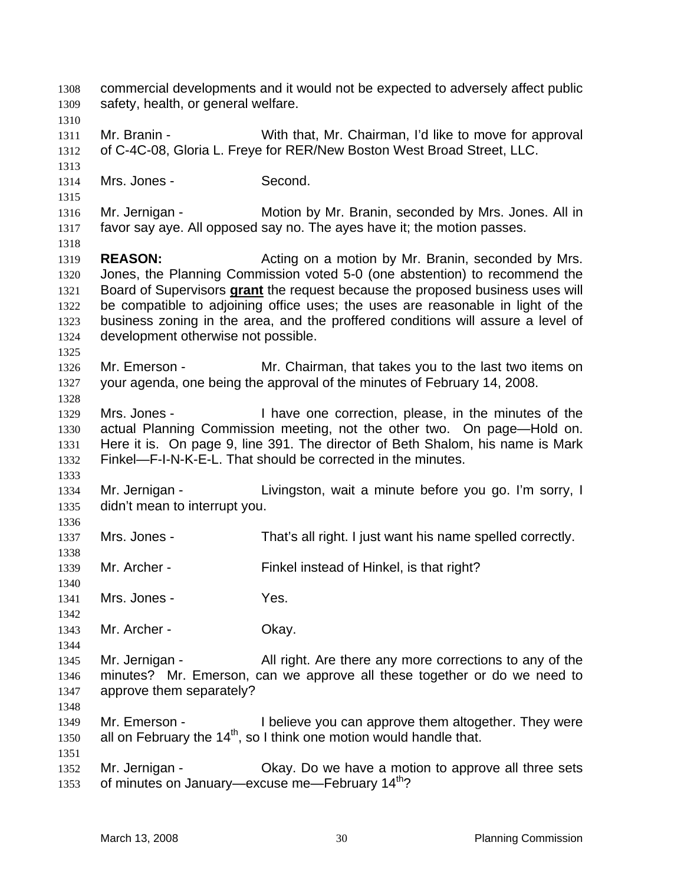commercial developments and it would not be expected to adversely affect public safety, health, or general welfare. 1308 1309 1310 1311 1312 1313 1314 1315 1316 1317 1318 1319 1320 Mr. Branin - With that, Mr. Chairman, I'd like to move for approval of C-4C-08, Gloria L. Freye for RER/New Boston West Broad Street, LLC. Mrs. Jones - Second. Mr. Jernigan - Motion by Mr. Branin, seconded by Mrs. Jones. All in favor say aye. All opposed say no. The ayes have it; the motion passes. **REASON:** Acting on a motion by Mr. Branin, seconded by Mrs. Jones, the Planning Commission voted 5-0 (one abstention) to recommend the Board of Supervisors **grant** the request because the proposed business uses will be compatible to adjoining office uses; the uses are reasonable in light of the business zoning in the area, and the proffered conditions will assure a level of development otherwise not possible. 1321 1322 1323 1324 1325 1326 1327 1328 1329 1330 1331 1332 1333 1334 1335 1336 1337 1338 1339 1340 1341 1342 1343 1344 1345 1346 1347 1348 1349 1350 1351 1352 1353 Mr. Emerson - Mr. Chairman, that takes you to the last two items on your agenda, one being the approval of the minutes of February 14, 2008. Mrs. Jones - I have one correction, please, in the minutes of the actual Planning Commission meeting, not the other two. On page—Hold on. Here it is. On page 9, line 391. The director of Beth Shalom, his name is Mark Finkel—F-I-N-K-E-L. That should be corrected in the minutes. Mr. Jernigan - The Livingston, wait a minute before you go. I'm sorry, I didn't mean to interrupt you. Mrs. Jones - That's all right. I just want his name spelled correctly. Mr. Archer - Finkel instead of Hinkel, is that right? Mrs. Jones - Yes. Mr. Archer - Ckay. Mr. Jernigan - All right. Are there any more corrections to any of the minutes? Mr. Emerson, can we approve all these together or do we need to approve them separately? Mr. Emerson - I believe you can approve them altogether. They were all on February the  $14<sup>th</sup>$ , so I think one motion would handle that. Mr. Jernigan - Ckay. Do we have a motion to approve all three sets of minutes on January—excuse me—February 14<sup>th</sup>?